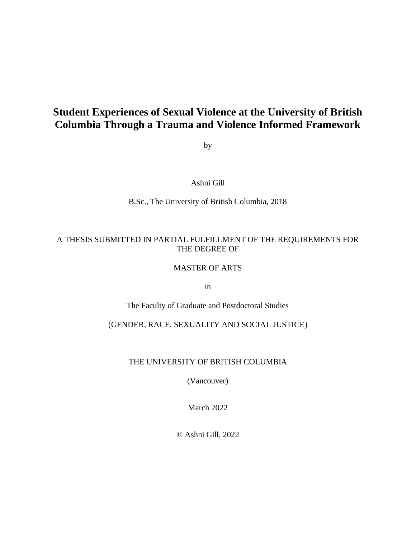# **Student Experiences of Sexual Violence at the University of British Columbia Through a Trauma and Violence Informed Framework**

by

Ashni Gill

B.Sc., The University of British Columbia, 2018

# A THESIS SUBMITTED IN PARTIAL FULFILLMENT OF THE REQUIREMENTS FOR THE DEGREE OF

#### MASTER OF ARTS

in

The Faculty of Graduate and Postdoctoral Studies

# (GENDER, RACE, SEXUALITY AND SOCIAL JUSTICE)

# THE UNIVERSITY OF BRITISH COLUMBIA

(Vancouver)

March 2022

© Ashni Gill, 2022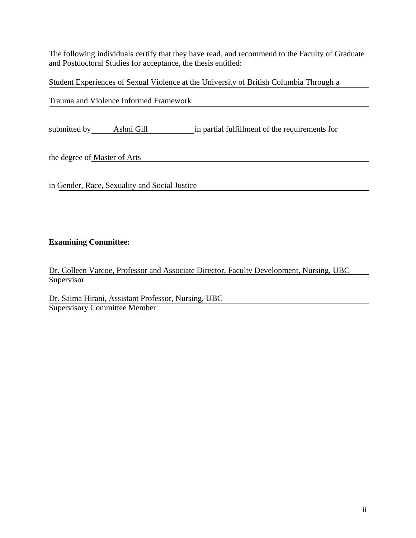The following individuals certify that they have read, and recommend to the Faculty of Graduate and Postdoctoral Studies for acceptance, the thesis entitled:

Student Experiences of Sexual Violence at the University of British Columbia Through a

Trauma and Violence Informed Framework

submitted by Ashni Gill in partial fulfillment of the requirements for

the degree of Master of Arts

in Gender, Race, Sexuality and Social Justice

# **Examining Committee:**

Dr. Colleen Varcoe, Professor and Associate Director, Faculty Development, Nursing, UBC **Supervisor** 

Dr. Saima Hirani, Assistant Professor, Nursing, UBC Supervisory Committee Member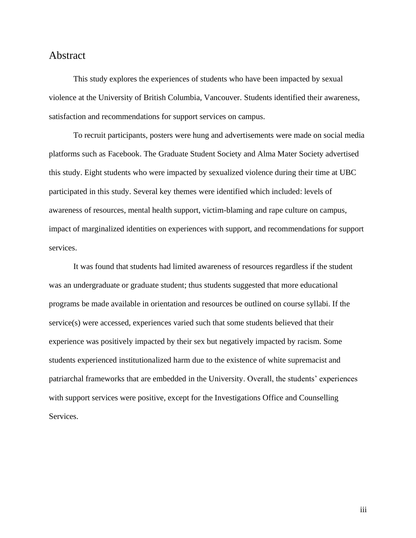# <span id="page-2-0"></span>Abstract

This study explores the experiences of students who have been impacted by sexual violence at the University of British Columbia, Vancouver. Students identified their awareness, satisfaction and recommendations for support services on campus.

To recruit participants, posters were hung and advertisements were made on social media platforms such as Facebook. The Graduate Student Society and Alma Mater Society advertised this study. Eight students who were impacted by sexualized violence during their time at UBC participated in this study. Several key themes were identified which included: levels of awareness of resources, mental health support, victim-blaming and rape culture on campus, impact of marginalized identities on experiences with support, and recommendations for support services.

It was found that students had limited awareness of resources regardless if the student was an undergraduate or graduate student; thus students suggested that more educational programs be made available in orientation and resources be outlined on course syllabi. If the service(s) were accessed, experiences varied such that some students believed that their experience was positively impacted by their sex but negatively impacted by racism. Some students experienced institutionalized harm due to the existence of white supremacist and patriarchal frameworks that are embedded in the University. Overall, the students' experiences with support services were positive, except for the Investigations Office and Counselling Services.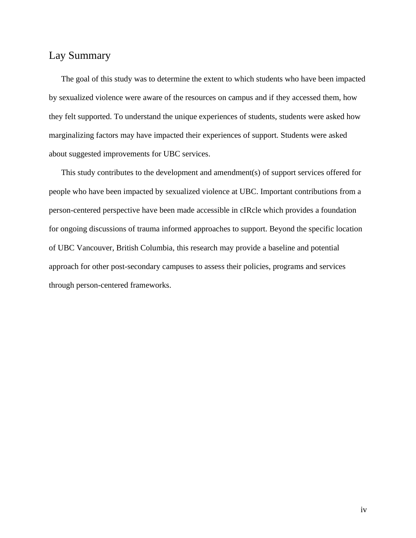# <span id="page-3-0"></span>Lay Summary

The goal of this study was to determine the extent to which students who have been impacted by sexualized violence were aware of the resources on campus and if they accessed them, how they felt supported. To understand the unique experiences of students, students were asked how marginalizing factors may have impacted their experiences of support. Students were asked about suggested improvements for UBC services.

This study contributes to the development and amendment(s) of support services offered for people who have been impacted by sexualized violence at UBC. Important contributions from a person-centered perspective have been made accessible in cIRcle which provides a foundation for ongoing discussions of trauma informed approaches to support. Beyond the specific location of UBC Vancouver, British Columbia, this research may provide a baseline and potential approach for other post-secondary campuses to assess their policies, programs and services through person-centered frameworks.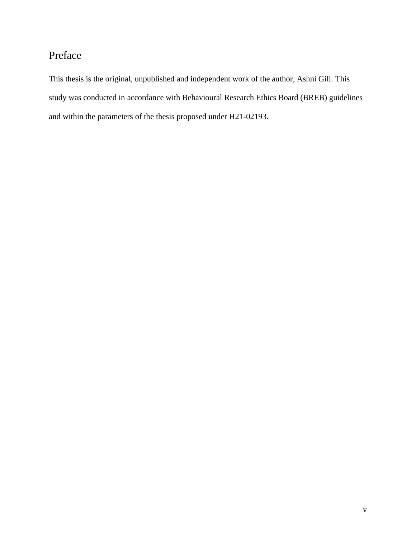# <span id="page-4-0"></span>Preface

This thesis is the original, unpublished and independent work of the author, Ashni Gill. This study was conducted in accordance with Behavioural Research Ethics Board (BREB) guidelines and within the parameters of the thesis proposed under H21-02193.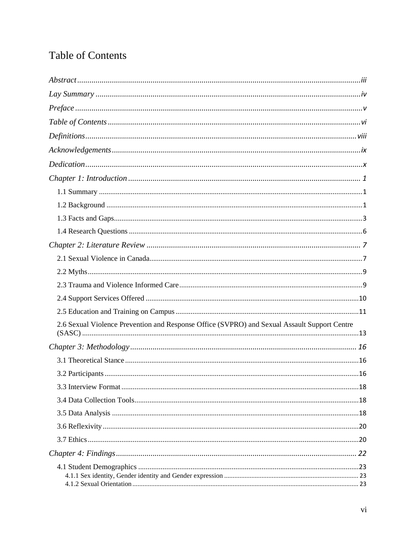# <span id="page-5-0"></span>**Table of Contents**

| 2.6 Sexual Violence Prevention and Response Office (SVPRO) and Sexual Assault Support Centre |
|----------------------------------------------------------------------------------------------|
|                                                                                              |
|                                                                                              |
|                                                                                              |
|                                                                                              |
|                                                                                              |
|                                                                                              |
|                                                                                              |
|                                                                                              |
|                                                                                              |
|                                                                                              |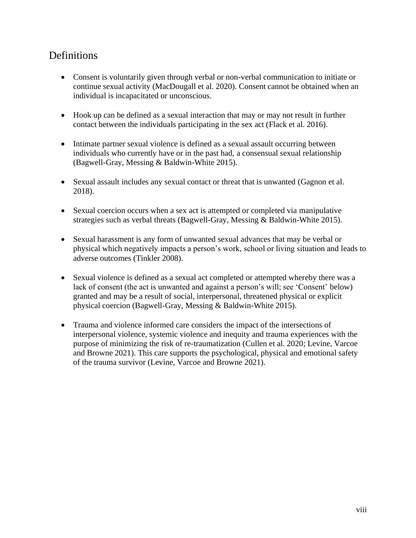# <span id="page-7-0"></span>Definitions

- Consent is voluntarily given through verbal or non-verbal communication to initiate or continue sexual activity (MacDougall et al. 2020). Consent cannot be obtained when an individual is incapacitated or unconscious.
- Hook up can be defined as a sexual interaction that may or may not result in further contact between the individuals participating in the sex act (Flack et al. 2016).
- Intimate partner sexual violence is defined as a sexual assault occurring between individuals who currently have or in the past had, a consensual sexual relationship (Bagwell-Gray, Messing & Baldwin-White 2015).
- Sexual assault includes any sexual contact or threat that is unwanted (Gagnon et al. 2018).
- Sexual coercion occurs when a sex act is attempted or completed via manipulative strategies such as verbal threats (Bagwell-Gray, Messing & Baldwin-White 2015).
- Sexual harassment is any form of unwanted sexual advances that may be verbal or physical which negatively impacts a person's work, school or living situation and leads to adverse outcomes (Tinkler 2008).
- Sexual violence is defined as a sexual act completed or attempted whereby there was a lack of consent (the act is unwanted and against a person's will; see 'Consent' below) granted and may be a result of social, interpersonal, threatened physical or explicit physical coercion (Bagwell-Gray, Messing & Baldwin-White 2015).
- Trauma and violence informed care considers the impact of the intersections of interpersonal violence, systemic violence and inequity and trauma experiences with the purpose of minimizing the risk of re-traumatization (Cullen et al. 2020; Levine, Varcoe and Browne 2021). This care supports the psychological, physical and emotional safety of the trauma survivor (Levine, Varcoe and Browne 2021).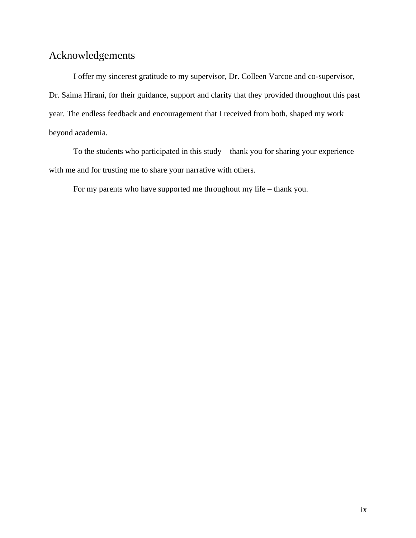# <span id="page-8-0"></span>Acknowledgements

I offer my sincerest gratitude to my supervisor, Dr. Colleen Varcoe and co-supervisor, Dr. Saima Hirani, for their guidance, support and clarity that they provided throughout this past year. The endless feedback and encouragement that I received from both, shaped my work beyond academia.

To the students who participated in this study – thank you for sharing your experience with me and for trusting me to share your narrative with others.

For my parents who have supported me throughout my life – thank you.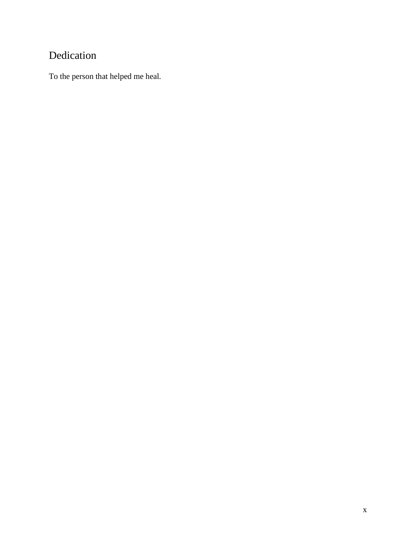# <span id="page-9-0"></span>Dedication

To the person that helped me heal.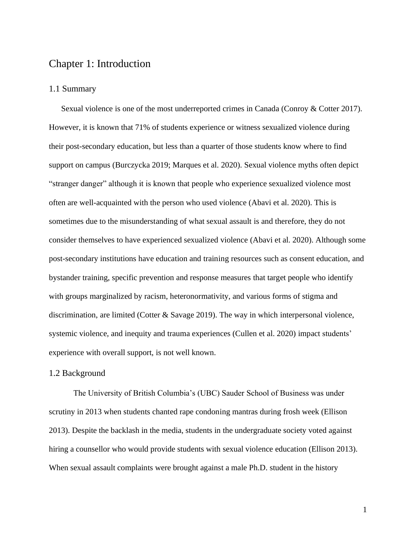# <span id="page-10-0"></span>Chapter 1: Introduction

#### <span id="page-10-1"></span>1.1 Summary

Sexual violence is one of the most underreported crimes in Canada (Conroy & Cotter 2017). However, it is known that 71% of students experience or witness sexualized violence during their post-secondary education, but less than a quarter of those students know where to find support on campus (Burczycka 2019; Marques et al. 2020). Sexual violence myths often depict "stranger danger" although it is known that people who experience sexualized violence most often are well-acquainted with the person who used violence (Abavi et al. 2020). This is sometimes due to the misunderstanding of what sexual assault is and therefore, they do not consider themselves to have experienced sexualized violence (Abavi et al. 2020). Although some post-secondary institutions have education and training resources such as consent education, and bystander training, specific prevention and response measures that target people who identify with groups marginalized by racism, heteronormativity, and various forms of stigma and discrimination, are limited (Cotter & Savage 2019). The way in which interpersonal violence, systemic violence, and inequity and trauma experiences (Cullen et al. 2020) impact students' experience with overall support, is not well known.

#### <span id="page-10-2"></span>1.2 Background

The University of British Columbia's (UBC) Sauder School of Business was under scrutiny in 2013 when students chanted rape condoning mantras during frosh week (Ellison 2013). Despite the backlash in the media, students in the undergraduate society voted against hiring a counsellor who would provide students with sexual violence education (Ellison 2013). When sexual assault complaints were brought against a male Ph.D. student in the history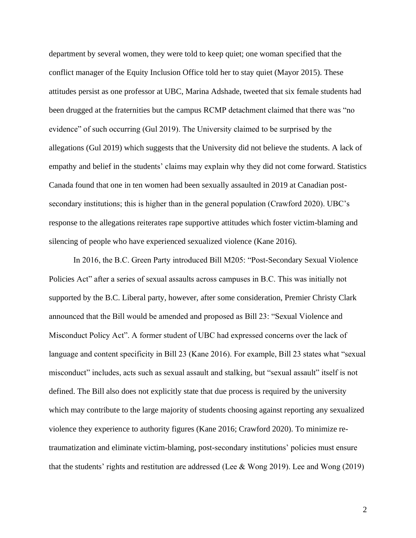department by several women, they were told to keep quiet; one woman specified that the conflict manager of the Equity Inclusion Office told her to stay quiet (Mayor 2015). These attitudes persist as one professor at UBC, Marina Adshade, tweeted that six female students had been drugged at the fraternities but the campus RCMP detachment claimed that there was "no evidence" of such occurring (Gul 2019). The University claimed to be surprised by the allegations (Gul 2019) which suggests that the University did not believe the students. A lack of empathy and belief in the students' claims may explain why they did not come forward. Statistics Canada found that one in ten women had been sexually assaulted in 2019 at Canadian postsecondary institutions; this is higher than in the general population (Crawford 2020). UBC's response to the allegations reiterates rape supportive attitudes which foster victim-blaming and silencing of people who have experienced sexualized violence (Kane 2016).

In 2016, the B.C. Green Party introduced Bill M205: "Post-Secondary Sexual Violence Policies Act" after a series of sexual assaults across campuses in B.C. This was initially not supported by the B.C. Liberal party, however, after some consideration, Premier Christy Clark announced that the Bill would be amended and proposed as Bill 23: "Sexual Violence and Misconduct Policy Act". A former student of UBC had expressed concerns over the lack of language and content specificity in Bill 23 (Kane 2016). For example, Bill 23 states what "sexual misconduct" includes, acts such as sexual assault and stalking, but "sexual assault" itself is not defined. The Bill also does not explicitly state that due process is required by the university which may contribute to the large majority of students choosing against reporting any sexualized violence they experience to authority figures (Kane 2016; Crawford 2020). To minimize retraumatization and eliminate victim-blaming, post-secondary institutions' policies must ensure that the students' rights and restitution are addressed (Lee & Wong 2019). Lee and Wong (2019)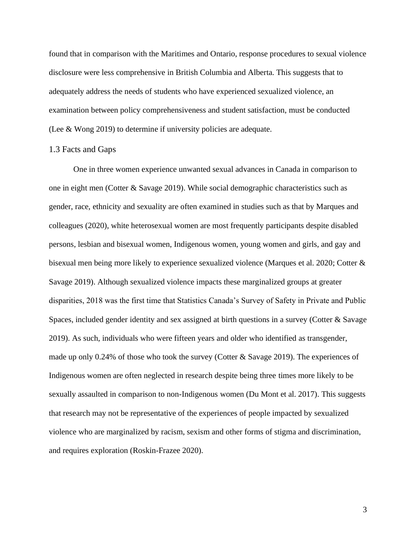found that in comparison with the Maritimes and Ontario, response procedures to sexual violence disclosure were less comprehensive in British Columbia and Alberta. This suggests that to adequately address the needs of students who have experienced sexualized violence, an examination between policy comprehensiveness and student satisfaction, must be conducted (Lee & Wong 2019) to determine if university policies are adequate.

## <span id="page-12-0"></span>1.3 Facts and Gaps

One in three women experience unwanted sexual advances in Canada in comparison to one in eight men (Cotter & Savage 2019). While social demographic characteristics such as gender, race, ethnicity and sexuality are often examined in studies such as that by Marques and colleagues (2020), white heterosexual women are most frequently participants despite disabled persons, lesbian and bisexual women, Indigenous women, young women and girls, and gay and bisexual men being more likely to experience sexualized violence (Marques et al. 2020; Cotter & Savage 2019). Although sexualized violence impacts these marginalized groups at greater disparities, 2018 was the first time that Statistics Canada's Survey of Safety in Private and Public Spaces, included gender identity and sex assigned at birth questions in a survey (Cotter & Savage 2019). As such, individuals who were fifteen years and older who identified as transgender, made up only 0.24% of those who took the survey (Cotter & Savage 2019). The experiences of Indigenous women are often neglected in research despite being three times more likely to be sexually assaulted in comparison to non-Indigenous women (Du Mont et al. 2017). This suggests that research may not be representative of the experiences of people impacted by sexualized violence who are marginalized by racism, sexism and other forms of stigma and discrimination, and requires exploration (Roskin-Frazee 2020).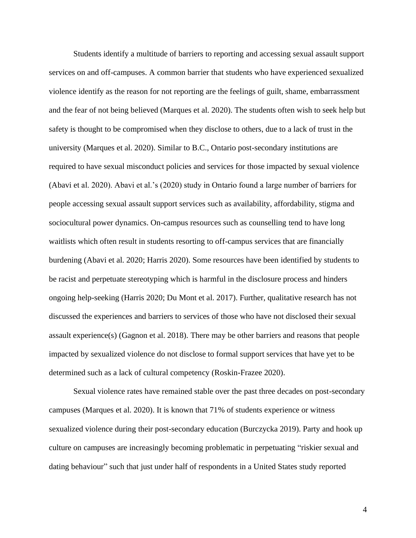Students identify a multitude of barriers to reporting and accessing sexual assault support services on and off-campuses. A common barrier that students who have experienced sexualized violence identify as the reason for not reporting are the feelings of guilt, shame, embarrassment and the fear of not being believed (Marques et al. 2020). The students often wish to seek help but safety is thought to be compromised when they disclose to others, due to a lack of trust in the university (Marques et al. 2020). Similar to B.C., Ontario post-secondary institutions are required to have sexual misconduct policies and services for those impacted by sexual violence (Abavi et al. 2020). Abavi et al.'s (2020) study in Ontario found a large number of barriers for people accessing sexual assault support services such as availability, affordability, stigma and sociocultural power dynamics. On-campus resources such as counselling tend to have long waitlists which often result in students resorting to off-campus services that are financially burdening (Abavi et al. 2020; Harris 2020). Some resources have been identified by students to be racist and perpetuate stereotyping which is harmful in the disclosure process and hinders ongoing help-seeking (Harris 2020; Du Mont et al. 2017). Further, qualitative research has not discussed the experiences and barriers to services of those who have not disclosed their sexual assault experience(s) (Gagnon et al. 2018). There may be other barriers and reasons that people impacted by sexualized violence do not disclose to formal support services that have yet to be determined such as a lack of cultural competency (Roskin-Frazee 2020).

Sexual violence rates have remained stable over the past three decades on post-secondary campuses (Marques et al. 2020). It is known that 71% of students experience or witness sexualized violence during their post-secondary education (Burczycka 2019). Party and hook up culture on campuses are increasingly becoming problematic in perpetuating "riskier sexual and dating behaviour" such that just under half of respondents in a United States study reported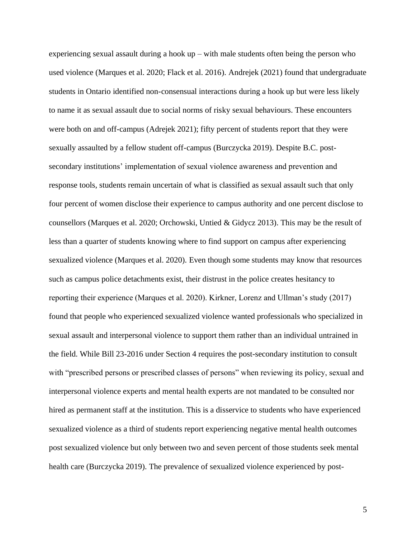experiencing sexual assault during a hook  $up - with$  male students often being the person who used violence (Marques et al. 2020; Flack et al. 2016). Andrejek (2021) found that undergraduate students in Ontario identified non-consensual interactions during a hook up but were less likely to name it as sexual assault due to social norms of risky sexual behaviours. These encounters were both on and off-campus (Adrejek 2021); fifty percent of students report that they were sexually assaulted by a fellow student off-campus (Burczycka 2019). Despite B.C. postsecondary institutions' implementation of sexual violence awareness and prevention and response tools, students remain uncertain of what is classified as sexual assault such that only four percent of women disclose their experience to campus authority and one percent disclose to counsellors (Marques et al. 2020; Orchowski, Untied & Gidycz 2013). This may be the result of less than a quarter of students knowing where to find support on campus after experiencing sexualized violence (Marques et al. 2020). Even though some students may know that resources such as campus police detachments exist, their distrust in the police creates hesitancy to reporting their experience (Marques et al. 2020). Kirkner, Lorenz and Ullman's study (2017) found that people who experienced sexualized violence wanted professionals who specialized in sexual assault and interpersonal violence to support them rather than an individual untrained in the field. While Bill 23-2016 under Section 4 requires the post-secondary institution to consult with "prescribed persons or prescribed classes of persons" when reviewing its policy, sexual and interpersonal violence experts and mental health experts are not mandated to be consulted nor hired as permanent staff at the institution. This is a disservice to students who have experienced sexualized violence as a third of students report experiencing negative mental health outcomes post sexualized violence but only between two and seven percent of those students seek mental health care (Burczycka 2019). The prevalence of sexualized violence experienced by post-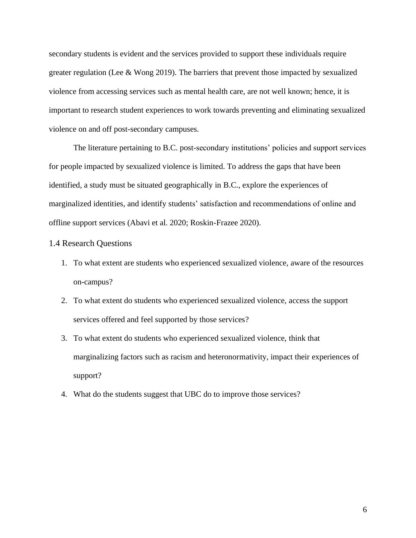secondary students is evident and the services provided to support these individuals require greater regulation (Lee & Wong 2019). The barriers that prevent those impacted by sexualized violence from accessing services such as mental health care, are not well known; hence, it is important to research student experiences to work towards preventing and eliminating sexualized violence on and off post-secondary campuses.

The literature pertaining to B.C. post-secondary institutions' policies and support services for people impacted by sexualized violence is limited. To address the gaps that have been identified, a study must be situated geographically in B.C., explore the experiences of marginalized identities, and identify students' satisfaction and recommendations of online and offline support services (Abavi et al. 2020; Roskin-Frazee 2020).

## <span id="page-15-0"></span>1.4 Research Questions

- 1. To what extent are students who experienced sexualized violence, aware of the resources on-campus?
- 2. To what extent do students who experienced sexualized violence, access the support services offered and feel supported by those services?
- 3. To what extent do students who experienced sexualized violence, think that marginalizing factors such as racism and heteronormativity, impact their experiences of support?
- 4. What do the students suggest that UBC do to improve those services?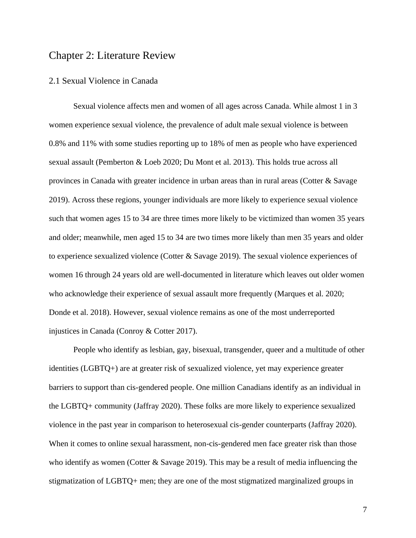# <span id="page-16-0"></span>Chapter 2: Literature Review

## <span id="page-16-1"></span>2.1 Sexual Violence in Canada

Sexual violence affects men and women of all ages across Canada. While almost 1 in 3 women experience sexual violence, the prevalence of adult male sexual violence is between 0.8% and 11% with some studies reporting up to 18% of men as people who have experienced sexual assault (Pemberton & Loeb 2020; Du Mont et al. 2013). This holds true across all provinces in Canada with greater incidence in urban areas than in rural areas (Cotter & Savage 2019). Across these regions, younger individuals are more likely to experience sexual violence such that women ages 15 to 34 are three times more likely to be victimized than women 35 years and older; meanwhile, men aged 15 to 34 are two times more likely than men 35 years and older to experience sexualized violence (Cotter & Savage 2019). The sexual violence experiences of women 16 through 24 years old are well-documented in literature which leaves out older women who acknowledge their experience of sexual assault more frequently (Marques et al. 2020; Donde et al. 2018). However, sexual violence remains as one of the most underreported injustices in Canada (Conroy & Cotter 2017).

People who identify as lesbian, gay, bisexual, transgender, queer and a multitude of other identities (LGBTQ+) are at greater risk of sexualized violence, yet may experience greater barriers to support than cis-gendered people. One million Canadians identify as an individual in the LGBTQ+ community (Jaffray 2020). These folks are more likely to experience sexualized violence in the past year in comparison to heterosexual cis-gender counterparts (Jaffray 2020). When it comes to online sexual harassment, non-cis-gendered men face greater risk than those who identify as women (Cotter & Savage 2019). This may be a result of media influencing the stigmatization of LGBTQ+ men; they are one of the most stigmatized marginalized groups in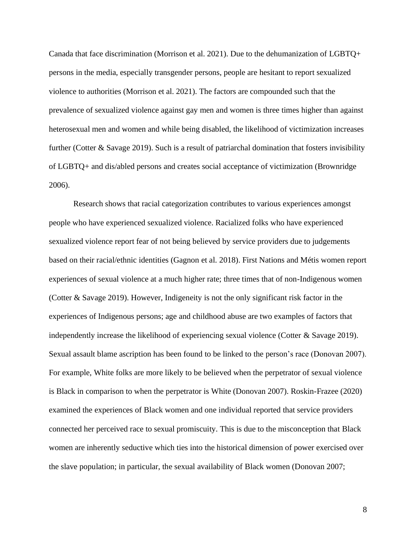Canada that face discrimination (Morrison et al. 2021). Due to the dehumanization of LGBTQ+ persons in the media, especially transgender persons, people are hesitant to report sexualized violence to authorities (Morrison et al. 2021). The factors are compounded such that the prevalence of sexualized violence against gay men and women is three times higher than against heterosexual men and women and while being disabled, the likelihood of victimization increases further (Cotter & Savage 2019). Such is a result of patriarchal domination that fosters invisibility of LGBTQ+ and dis/abled persons and creates social acceptance of victimization (Brownridge 2006).

Research shows that racial categorization contributes to various experiences amongst people who have experienced sexualized violence. Racialized folks who have experienced sexualized violence report fear of not being believed by service providers due to judgements based on their racial/ethnic identities (Gagnon et al. 2018). First Nations and Métis women report experiences of sexual violence at a much higher rate; three times that of non-Indigenous women (Cotter & Savage 2019). However, Indigeneity is not the only significant risk factor in the experiences of Indigenous persons; age and childhood abuse are two examples of factors that independently increase the likelihood of experiencing sexual violence (Cotter & Savage 2019). Sexual assault blame ascription has been found to be linked to the person's race (Donovan 2007). For example, White folks are more likely to be believed when the perpetrator of sexual violence is Black in comparison to when the perpetrator is White (Donovan 2007). Roskin-Frazee (2020) examined the experiences of Black women and one individual reported that service providers connected her perceived race to sexual promiscuity. This is due to the misconception that Black women are inherently seductive which ties into the historical dimension of power exercised over the slave population; in particular, the sexual availability of Black women (Donovan 2007;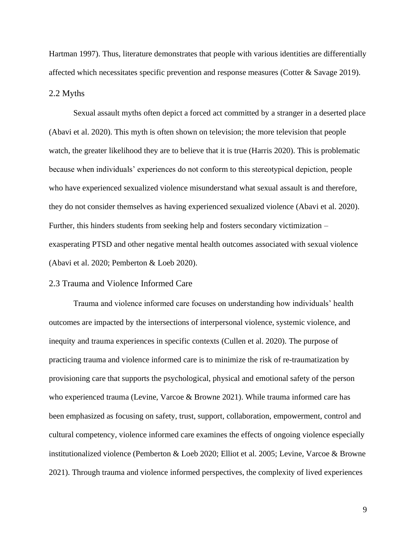Hartman 1997). Thus, literature demonstrates that people with various identities are differentially affected which necessitates specific prevention and response measures (Cotter & Savage 2019). 2.2 Myths

<span id="page-18-0"></span>Sexual assault myths often depict a forced act committed by a stranger in a deserted place (Abavi et al. 2020). This myth is often shown on television; the more television that people watch, the greater likelihood they are to believe that it is true (Harris 2020). This is problematic because when individuals' experiences do not conform to this stereotypical depiction, people who have experienced sexualized violence misunderstand what sexual assault is and therefore, they do not consider themselves as having experienced sexualized violence (Abavi et al. 2020). Further, this hinders students from seeking help and fosters secondary victimization – exasperating PTSD and other negative mental health outcomes associated with sexual violence (Abavi et al. 2020; Pemberton & Loeb 2020).

#### <span id="page-18-1"></span>2.3 Trauma and Violence Informed Care

Trauma and violence informed care focuses on understanding how individuals' health outcomes are impacted by the intersections of interpersonal violence, systemic violence, and inequity and trauma experiences in specific contexts (Cullen et al. 2020). The purpose of practicing trauma and violence informed care is to minimize the risk of re-traumatization by provisioning care that supports the psychological, physical and emotional safety of the person who experienced trauma (Levine, Varcoe & Browne 2021). While trauma informed care has been emphasized as focusing on safety, trust, support, collaboration, empowerment, control and cultural competency, violence informed care examines the effects of ongoing violence especially institutionalized violence (Pemberton & Loeb 2020; Elliot et al. 2005; Levine, Varcoe & Browne 2021). Through trauma and violence informed perspectives, the complexity of lived experiences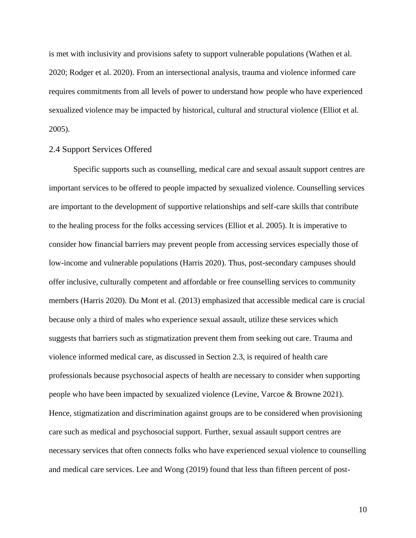is met with inclusivity and provisions safety to support vulnerable populations (Wathen et al. 2020; Rodger et al. 2020). From an intersectional analysis, trauma and violence informed care requires commitments from all levels of power to understand how people who have experienced sexualized violence may be impacted by historical, cultural and structural violence (Elliot et al. 2005).

#### <span id="page-19-0"></span>2.4 Support Services Offered

Specific supports such as counselling, medical care and sexual assault support centres are important services to be offered to people impacted by sexualized violence. Counselling services are important to the development of supportive relationships and self-care skills that contribute to the healing process for the folks accessing services (Elliot et al. 2005). It is imperative to consider how financial barriers may prevent people from accessing services especially those of low-income and vulnerable populations (Harris 2020). Thus, post-secondary campuses should offer inclusive, culturally competent and affordable or free counselling services to community members (Harris 2020). Du Mont et al. (2013) emphasized that accessible medical care is crucial because only a third of males who experience sexual assault, utilize these services which suggests that barriers such as stigmatization prevent them from seeking out care. Trauma and violence informed medical care, as discussed in Section 2.3, is required of health care professionals because psychosocial aspects of health are necessary to consider when supporting people who have been impacted by sexualized violence (Levine, Varcoe & Browne 2021). Hence, stigmatization and discrimination against groups are to be considered when provisioning care such as medical and psychosocial support. Further, sexual assault support centres are necessary services that often connects folks who have experienced sexual violence to counselling and medical care services. Lee and Wong (2019) found that less than fifteen percent of post-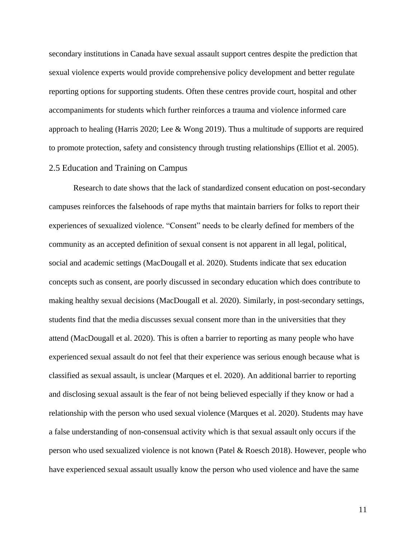secondary institutions in Canada have sexual assault support centres despite the prediction that sexual violence experts would provide comprehensive policy development and better regulate reporting options for supporting students. Often these centres provide court, hospital and other accompaniments for students which further reinforces a trauma and violence informed care approach to healing (Harris 2020; Lee & Wong 2019). Thus a multitude of supports are required to promote protection, safety and consistency through trusting relationships (Elliot et al. 2005).

# <span id="page-20-0"></span>2.5 Education and Training on Campus

Research to date shows that the lack of standardized consent education on post-secondary campuses reinforces the falsehoods of rape myths that maintain barriers for folks to report their experiences of sexualized violence. "Consent" needs to be clearly defined for members of the community as an accepted definition of sexual consent is not apparent in all legal, political, social and academic settings (MacDougall et al. 2020). Students indicate that sex education concepts such as consent, are poorly discussed in secondary education which does contribute to making healthy sexual decisions (MacDougall et al. 2020). Similarly, in post-secondary settings, students find that the media discusses sexual consent more than in the universities that they attend (MacDougall et al. 2020). This is often a barrier to reporting as many people who have experienced sexual assault do not feel that their experience was serious enough because what is classified as sexual assault, is unclear (Marques et el. 2020). An additional barrier to reporting and disclosing sexual assault is the fear of not being believed especially if they know or had a relationship with the person who used sexual violence (Marques et al. 2020). Students may have a false understanding of non-consensual activity which is that sexual assault only occurs if the person who used sexualized violence is not known (Patel & Roesch 2018). However, people who have experienced sexual assault usually know the person who used violence and have the same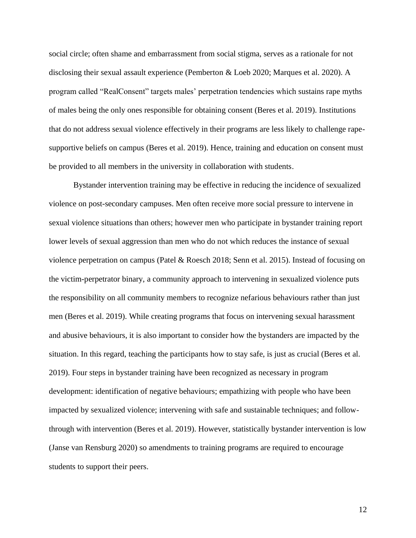social circle; often shame and embarrassment from social stigma, serves as a rationale for not disclosing their sexual assault experience (Pemberton & Loeb 2020; Marques et al. 2020). A program called "RealConsent" targets males' perpetration tendencies which sustains rape myths of males being the only ones responsible for obtaining consent (Beres et al. 2019). Institutions that do not address sexual violence effectively in their programs are less likely to challenge rapesupportive beliefs on campus (Beres et al. 2019). Hence, training and education on consent must be provided to all members in the university in collaboration with students.

Bystander intervention training may be effective in reducing the incidence of sexualized violence on post-secondary campuses. Men often receive more social pressure to intervene in sexual violence situations than others; however men who participate in bystander training report lower levels of sexual aggression than men who do not which reduces the instance of sexual violence perpetration on campus (Patel & Roesch 2018; Senn et al. 2015). Instead of focusing on the victim-perpetrator binary, a community approach to intervening in sexualized violence puts the responsibility on all community members to recognize nefarious behaviours rather than just men (Beres et al. 2019). While creating programs that focus on intervening sexual harassment and abusive behaviours, it is also important to consider how the bystanders are impacted by the situation. In this regard, teaching the participants how to stay safe, is just as crucial (Beres et al. 2019). Four steps in bystander training have been recognized as necessary in program development: identification of negative behaviours; empathizing with people who have been impacted by sexualized violence; intervening with safe and sustainable techniques; and followthrough with intervention (Beres et al. 2019). However, statistically bystander intervention is low (Janse van Rensburg 2020) so amendments to training programs are required to encourage students to support their peers.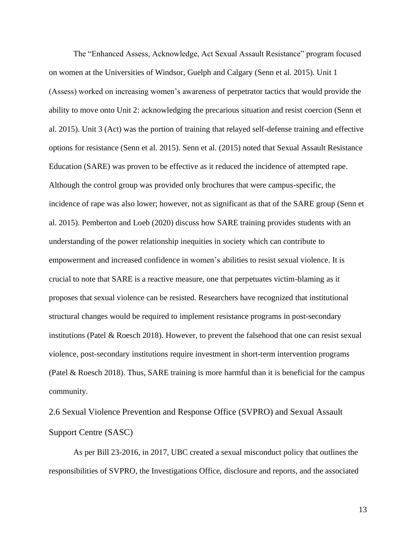The "Enhanced Assess, Acknowledge, Act Sexual Assault Resistance" program focused on women at the Universities of Windsor, Guelph and Calgary (Senn et al. 2015). Unit 1 (Assess) worked on increasing women's awareness of perpetrator tactics that would provide the ability to move onto Unit 2: acknowledging the precarious situation and resist coercion (Senn et al. 2015). Unit 3 (Act) was the portion of training that relayed self-defense training and effective options for resistance (Senn et al. 2015). Senn et al. (2015) noted that Sexual Assault Resistance Education (SARE) was proven to be effective as it reduced the incidence of attempted rape. Although the control group was provided only brochures that were campus-specific, the incidence of rape was also lower; however, not as significant as that of the SARE group (Senn et al. 2015). Pemberton and Loeb (2020) discuss how SARE training provides students with an understanding of the power relationship inequities in society which can contribute to empowerment and increased confidence in women's abilities to resist sexual violence. It is crucial to note that SARE is a reactive measure, one that perpetuates victim-blaming as it proposes that sexual violence can be resisted. Researchers have recognized that institutional structural changes would be required to implement resistance programs in post-secondary institutions (Patel & Roesch 2018). However, to prevent the falsehood that one can resist sexual violence, post-secondary institutions require investment in short-term intervention programs (Patel & Roesch 2018). Thus, SARE training is more harmful than it is beneficial for the campus community.

<span id="page-22-0"></span>2.6 Sexual Violence Prevention and Response Office (SVPRO) and Sexual Assault Support Centre (SASC)

As per Bill 23-2016, in 2017, UBC created a sexual misconduct policy that outlines the responsibilities of SVPRO, the Investigations Office, disclosure and reports, and the associated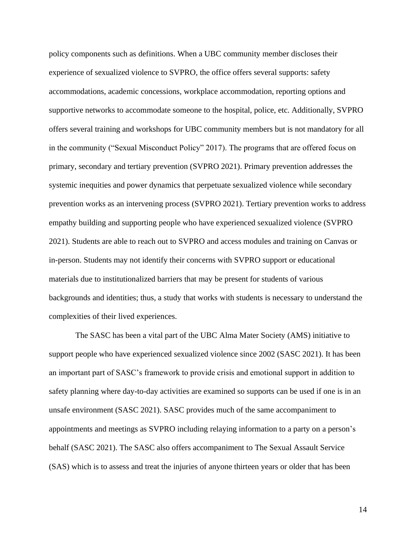policy components such as definitions. When a UBC community member discloses their experience of sexualized violence to SVPRO, the office offers several supports: safety accommodations, academic concessions, workplace accommodation, reporting options and supportive networks to accommodate someone to the hospital, police, etc. Additionally, SVPRO offers several training and workshops for UBC community members but is not mandatory for all in the community ("Sexual Misconduct Policy" 2017). The programs that are offered focus on primary, secondary and tertiary prevention (SVPRO 2021). Primary prevention addresses the systemic inequities and power dynamics that perpetuate sexualized violence while secondary prevention works as an intervening process (SVPRO 2021). Tertiary prevention works to address empathy building and supporting people who have experienced sexualized violence (SVPRO 2021). Students are able to reach out to SVPRO and access modules and training on Canvas or in-person. Students may not identify their concerns with SVPRO support or educational materials due to institutionalized barriers that may be present for students of various backgrounds and identities; thus, a study that works with students is necessary to understand the complexities of their lived experiences.

The SASC has been a vital part of the UBC Alma Mater Society (AMS) initiative to support people who have experienced sexualized violence since 2002 (SASC 2021). It has been an important part of SASC's framework to provide crisis and emotional support in addition to safety planning where day-to-day activities are examined so supports can be used if one is in an unsafe environment (SASC 2021). SASC provides much of the same accompaniment to appointments and meetings as SVPRO including relaying information to a party on a person's behalf (SASC 2021). The SASC also offers accompaniment to The Sexual Assault Service (SAS) which is to assess and treat the injuries of anyone thirteen years or older that has been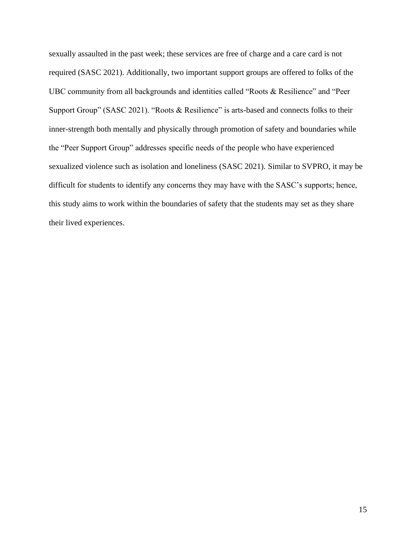sexually assaulted in the past week; these services are free of charge and a care card is not required (SASC 2021). Additionally, two important support groups are offered to folks of the UBC community from all backgrounds and identities called "Roots & Resilience" and "Peer Support Group" (SASC 2021). "Roots & Resilience" is arts-based and connects folks to their inner-strength both mentally and physically through promotion of safety and boundaries while the "Peer Support Group" addresses specific needs of the people who have experienced sexualized violence such as isolation and loneliness (SASC 2021). Similar to SVPRO, it may be difficult for students to identify any concerns they may have with the SASC's supports; hence, this study aims to work within the boundaries of safety that the students may set as they share their lived experiences.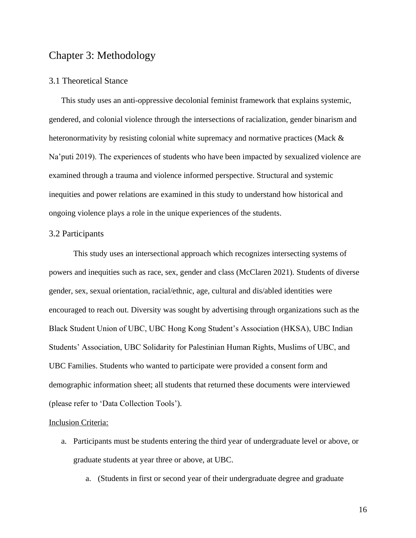# <span id="page-25-0"></span>Chapter 3: Methodology

## <span id="page-25-1"></span>3.1 Theoretical Stance

This study uses an anti-oppressive decolonial feminist framework that explains systemic, gendered, and colonial violence through the intersections of racialization, gender binarism and heteronormativity by resisting colonial white supremacy and normative practices (Mack & Na'puti 2019). The experiences of students who have been impacted by sexualized violence are examined through a trauma and violence informed perspective. Structural and systemic inequities and power relations are examined in this study to understand how historical and ongoing violence plays a role in the unique experiences of the students.

#### <span id="page-25-2"></span>3.2 Participants

This study uses an intersectional approach which recognizes intersecting systems of powers and inequities such as race, sex, gender and class (McClaren 2021). Students of diverse gender, sex, sexual orientation, racial/ethnic, age, cultural and dis/abled identities were encouraged to reach out. Diversity was sought by advertising through organizations such as the Black Student Union of UBC, UBC Hong Kong Student's Association (HKSA), UBC Indian Students' Association, UBC Solidarity for Palestinian Human Rights, Muslims of UBC, and UBC Families. Students who wanted to participate were provided a consent form and demographic information sheet; all students that returned these documents were interviewed (please refer to 'Data Collection Tools').

#### Inclusion Criteria:

- a. Participants must be students entering the third year of undergraduate level or above, or graduate students at year three or above, at UBC.
	- a. (Students in first or second year of their undergraduate degree and graduate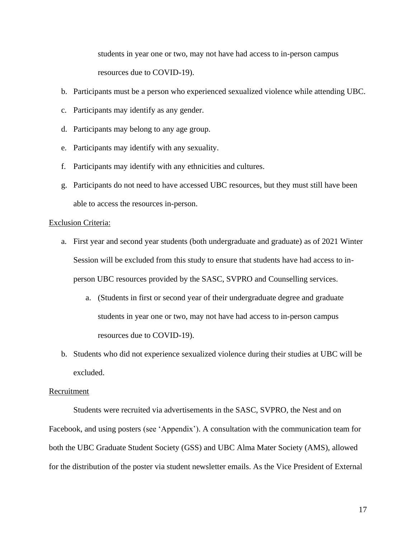students in year one or two, may not have had access to in-person campus resources due to COVID-19).

- b. Participants must be a person who experienced sexualized violence while attending UBC.
- c. Participants may identify as any gender.
- d. Participants may belong to any age group.
- e. Participants may identify with any sexuality.
- f. Participants may identify with any ethnicities and cultures.
- g. Participants do not need to have accessed UBC resources, but they must still have been able to access the resources in-person.

#### Exclusion Criteria:

- a. First year and second year students (both undergraduate and graduate) as of 2021 Winter Session will be excluded from this study to ensure that students have had access to inperson UBC resources provided by the SASC, SVPRO and Counselling services.
	- a. (Students in first or second year of their undergraduate degree and graduate students in year one or two, may not have had access to in-person campus resources due to COVID-19).
- b. Students who did not experience sexualized violence during their studies at UBC will be excluded.

#### Recruitment

Students were recruited via advertisements in the SASC, SVPRO, the Nest and on Facebook, and using posters (see 'Appendix'). A consultation with the communication team for both the UBC Graduate Student Society (GSS) and UBC Alma Mater Society (AMS), allowed for the distribution of the poster via student newsletter emails. As the Vice President of External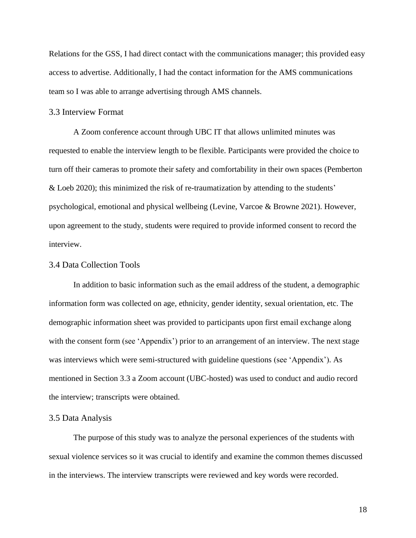Relations for the GSS, I had direct contact with the communications manager; this provided easy access to advertise. Additionally, I had the contact information for the AMS communications team so I was able to arrange advertising through AMS channels.

## <span id="page-27-0"></span>3.3 Interview Format

A Zoom conference account through UBC IT that allows unlimited minutes was requested to enable the interview length to be flexible. Participants were provided the choice to turn off their cameras to promote their safety and comfortability in their own spaces (Pemberton & Loeb 2020); this minimized the risk of re-traumatization by attending to the students' psychological, emotional and physical wellbeing (Levine, Varcoe & Browne 2021). However, upon agreement to the study, students were required to provide informed consent to record the interview.

#### <span id="page-27-1"></span>3.4 Data Collection Tools

In addition to basic information such as the email address of the student, a demographic information form was collected on age, ethnicity, gender identity, sexual orientation, etc. The demographic information sheet was provided to participants upon first email exchange along with the consent form (see 'Appendix') prior to an arrangement of an interview. The next stage was interviews which were semi-structured with guideline questions (see 'Appendix'). As mentioned in Section 3.3 a Zoom account (UBC-hosted) was used to conduct and audio record the interview; transcripts were obtained.

#### <span id="page-27-2"></span>3.5 Data Analysis

The purpose of this study was to analyze the personal experiences of the students with sexual violence services so it was crucial to identify and examine the common themes discussed in the interviews. The interview transcripts were reviewed and key words were recorded.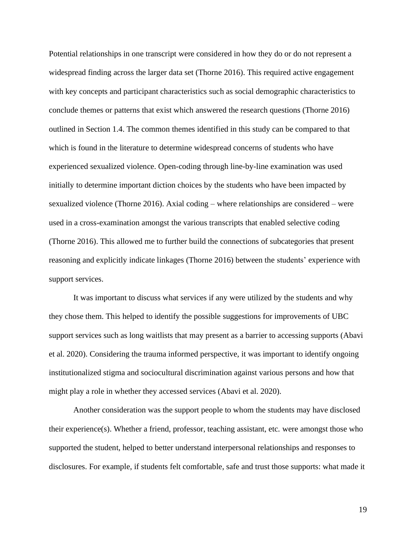Potential relationships in one transcript were considered in how they do or do not represent a widespread finding across the larger data set (Thorne 2016). This required active engagement with key concepts and participant characteristics such as social demographic characteristics to conclude themes or patterns that exist which answered the research questions (Thorne 2016) outlined in Section 1.4. The common themes identified in this study can be compared to that which is found in the literature to determine widespread concerns of students who have experienced sexualized violence. Open-coding through line-by-line examination was used initially to determine important diction choices by the students who have been impacted by sexualized violence (Thorne 2016). Axial coding – where relationships are considered – were used in a cross-examination amongst the various transcripts that enabled selective coding (Thorne 2016). This allowed me to further build the connections of subcategories that present reasoning and explicitly indicate linkages (Thorne 2016) between the students' experience with support services.

It was important to discuss what services if any were utilized by the students and why they chose them. This helped to identify the possible suggestions for improvements of UBC support services such as long waitlists that may present as a barrier to accessing supports (Abavi et al. 2020). Considering the trauma informed perspective, it was important to identify ongoing institutionalized stigma and sociocultural discrimination against various persons and how that might play a role in whether they accessed services (Abavi et al. 2020).

Another consideration was the support people to whom the students may have disclosed their experience(s). Whether a friend, professor, teaching assistant, etc. were amongst those who supported the student, helped to better understand interpersonal relationships and responses to disclosures. For example, if students felt comfortable, safe and trust those supports: what made it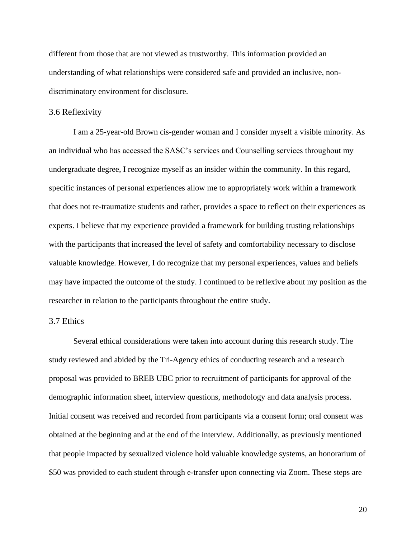different from those that are not viewed as trustworthy. This information provided an understanding of what relationships were considered safe and provided an inclusive, nondiscriminatory environment for disclosure.

## <span id="page-29-0"></span>3.6 Reflexivity

I am a 25-year-old Brown cis-gender woman and I consider myself a visible minority. As an individual who has accessed the SASC's services and Counselling services throughout my undergraduate degree, I recognize myself as an insider within the community. In this regard, specific instances of personal experiences allow me to appropriately work within a framework that does not re-traumatize students and rather, provides a space to reflect on their experiences as experts. I believe that my experience provided a framework for building trusting relationships with the participants that increased the level of safety and comfortability necessary to disclose valuable knowledge. However, I do recognize that my personal experiences, values and beliefs may have impacted the outcome of the study. I continued to be reflexive about my position as the researcher in relation to the participants throughout the entire study.

# <span id="page-29-1"></span>3.7 Ethics

Several ethical considerations were taken into account during this research study. The study reviewed and abided by the Tri-Agency ethics of conducting research and a research proposal was provided to BREB UBC prior to recruitment of participants for approval of the demographic information sheet, interview questions, methodology and data analysis process. Initial consent was received and recorded from participants via a consent form; oral consent was obtained at the beginning and at the end of the interview. Additionally, as previously mentioned that people impacted by sexualized violence hold valuable knowledge systems, an honorarium of \$50 was provided to each student through e-transfer upon connecting via Zoom. These steps are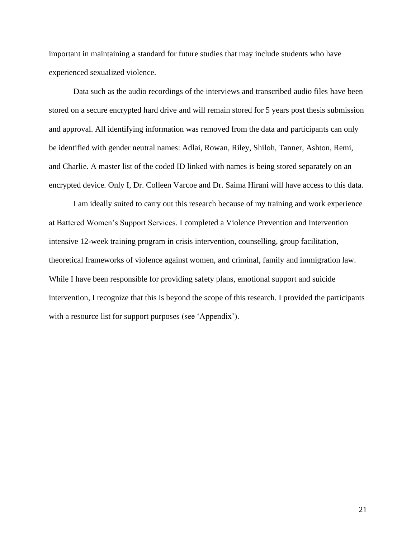important in maintaining a standard for future studies that may include students who have experienced sexualized violence.

Data such as the audio recordings of the interviews and transcribed audio files have been stored on a secure encrypted hard drive and will remain stored for 5 years post thesis submission and approval. All identifying information was removed from the data and participants can only be identified with gender neutral names: Adlai, Rowan, Riley, Shiloh, Tanner, Ashton, Remi, and Charlie. A master list of the coded ID linked with names is being stored separately on an encrypted device. Only I, Dr. Colleen Varcoe and Dr. Saima Hirani will have access to this data.

I am ideally suited to carry out this research because of my training and work experience at Battered Women's Support Services. I completed a Violence Prevention and Intervention intensive 12-week training program in crisis intervention, counselling, group facilitation, theoretical frameworks of violence against women, and criminal, family and immigration law. While I have been responsible for providing safety plans, emotional support and suicide intervention, I recognize that this is beyond the scope of this research. I provided the participants with a resource list for support purposes (see 'Appendix').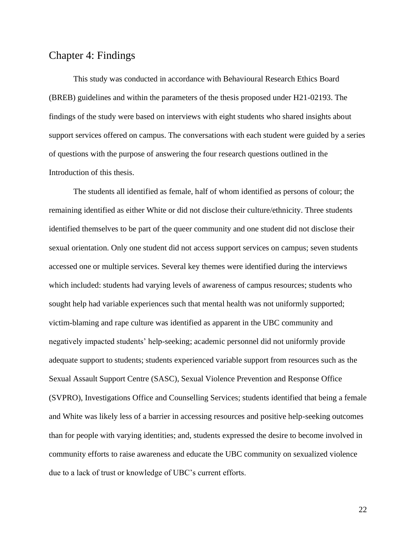# <span id="page-31-0"></span>Chapter 4: Findings

This study was conducted in accordance with Behavioural Research Ethics Board (BREB) guidelines and within the parameters of the thesis proposed under H21-02193. The findings of the study were based on interviews with eight students who shared insights about support services offered on campus. The conversations with each student were guided by a series of questions with the purpose of answering the four research questions outlined in the Introduction of this thesis.

The students all identified as female, half of whom identified as persons of colour; the remaining identified as either White or did not disclose their culture/ethnicity. Three students identified themselves to be part of the queer community and one student did not disclose their sexual orientation. Only one student did not access support services on campus; seven students accessed one or multiple services. Several key themes were identified during the interviews which included: students had varying levels of awareness of campus resources; students who sought help had variable experiences such that mental health was not uniformly supported; victim-blaming and rape culture was identified as apparent in the UBC community and negatively impacted students' help-seeking; academic personnel did not uniformly provide adequate support to students; students experienced variable support from resources such as the Sexual Assault Support Centre (SASC), Sexual Violence Prevention and Response Office (SVPRO), Investigations Office and Counselling Services; students identified that being a female and White was likely less of a barrier in accessing resources and positive help-seeking outcomes than for people with varying identities; and, students expressed the desire to become involved in community efforts to raise awareness and educate the UBC community on sexualized violence due to a lack of trust or knowledge of UBC's current efforts.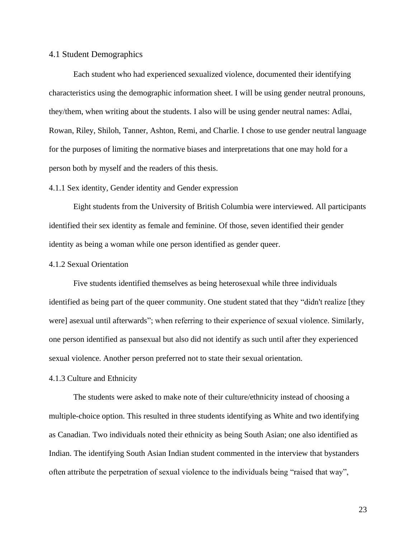#### <span id="page-32-0"></span>4.1 Student Demographics

Each student who had experienced sexualized violence, documented their identifying characteristics using the demographic information sheet. I will be using gender neutral pronouns, they/them, when writing about the students. I also will be using gender neutral names: Adlai, Rowan, Riley, Shiloh, Tanner, Ashton, Remi, and Charlie. I chose to use gender neutral language for the purposes of limiting the normative biases and interpretations that one may hold for a person both by myself and the readers of this thesis.

#### <span id="page-32-1"></span>4.1.1 Sex identity, Gender identity and Gender expression

Eight students from the University of British Columbia were interviewed. All participants identified their sex identity as female and feminine. Of those, seven identified their gender identity as being a woman while one person identified as gender queer.

#### <span id="page-32-2"></span>4.1.2 Sexual Orientation

Five students identified themselves as being heterosexual while three individuals identified as being part of the queer community. One student stated that they "didn't realize [they were] asexual until afterwards"; when referring to their experience of sexual violence. Similarly, one person identified as pansexual but also did not identify as such until after they experienced sexual violence. Another person preferred not to state their sexual orientation.

#### <span id="page-32-3"></span>4.1.3 Culture and Ethnicity

The students were asked to make note of their culture/ethnicity instead of choosing a multiple-choice option. This resulted in three students identifying as White and two identifying as Canadian. Two individuals noted their ethnicity as being South Asian; one also identified as Indian. The identifying South Asian Indian student commented in the interview that bystanders often attribute the perpetration of sexual violence to the individuals being "raised that way",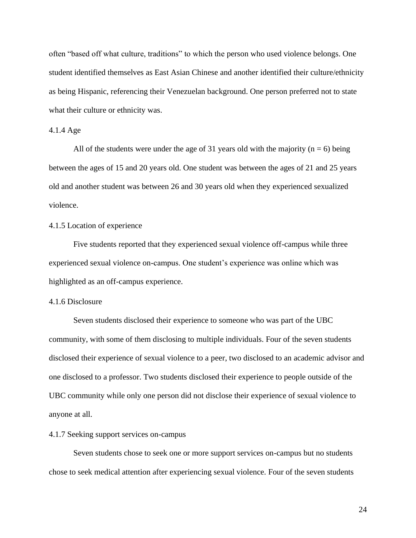often "based off what culture, traditions" to which the person who used violence belongs. One student identified themselves as East Asian Chinese and another identified their culture/ethnicity as being Hispanic, referencing their Venezuelan background. One person preferred not to state what their culture or ethnicity was.

## <span id="page-33-0"></span>4.1.4 Age

All of the students were under the age of 31 years old with the majority ( $n = 6$ ) being between the ages of 15 and 20 years old. One student was between the ages of 21 and 25 years old and another student was between 26 and 30 years old when they experienced sexualized violence.

## <span id="page-33-1"></span>4.1.5 Location of experience

Five students reported that they experienced sexual violence off-campus while three experienced sexual violence on-campus. One student's experience was online which was highlighted as an off-campus experience.

#### <span id="page-33-2"></span>4.1.6 Disclosure

Seven students disclosed their experience to someone who was part of the UBC community, with some of them disclosing to multiple individuals. Four of the seven students disclosed their experience of sexual violence to a peer, two disclosed to an academic advisor and one disclosed to a professor. Two students disclosed their experience to people outside of the UBC community while only one person did not disclose their experience of sexual violence to anyone at all.

## <span id="page-33-3"></span>4.1.7 Seeking support services on-campus

Seven students chose to seek one or more support services on-campus but no students chose to seek medical attention after experiencing sexual violence. Four of the seven students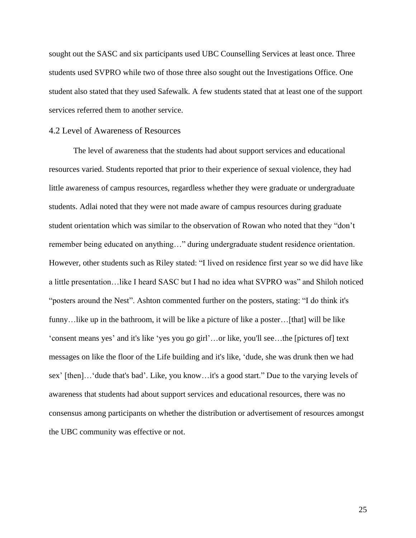sought out the SASC and six participants used UBC Counselling Services at least once. Three students used SVPRO while two of those three also sought out the Investigations Office. One student also stated that they used Safewalk. A few students stated that at least one of the support services referred them to another service.

### <span id="page-34-0"></span>4.2 Level of Awareness of Resources

The level of awareness that the students had about support services and educational resources varied. Students reported that prior to their experience of sexual violence, they had little awareness of campus resources, regardless whether they were graduate or undergraduate students. Adlai noted that they were not made aware of campus resources during graduate student orientation which was similar to the observation of Rowan who noted that they "don't remember being educated on anything…" during undergraduate student residence orientation. However, other students such as Riley stated: "I lived on residence first year so we did have like a little presentation…like I heard SASC but I had no idea what SVPRO was" and Shiloh noticed "posters around the Nest". Ashton commented further on the posters, stating: "I do think it's funny…like up in the bathroom, it will be like a picture of like a poster…[that] will be like 'consent means yes' and it's like 'yes you go girl'…or like, you'll see…the [pictures of] text messages on like the floor of the Life building and it's like, 'dude, she was drunk then we had sex' [then]…'dude that's bad'. Like, you know…it's a good start." Due to the varying levels of awareness that students had about support services and educational resources, there was no consensus among participants on whether the distribution or advertisement of resources amongst the UBC community was effective or not.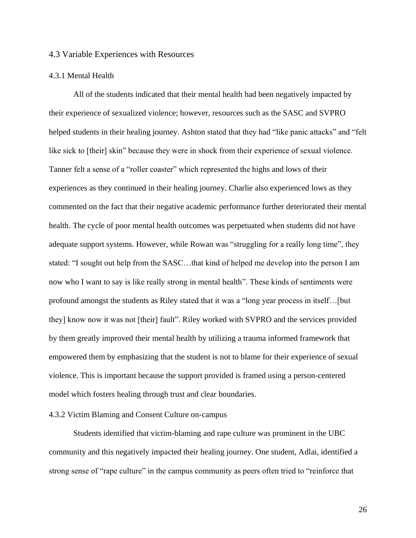#### <span id="page-35-0"></span>4.3 Variable Experiences with Resources

#### <span id="page-35-1"></span>4.3.1 Mental Health

All of the students indicated that their mental health had been negatively impacted by their experience of sexualized violence; however, resources such as the SASC and SVPRO helped students in their healing journey. Ashton stated that they had "like panic attacks" and "felt like sick to [their] skin" because they were in shock from their experience of sexual violence. Tanner felt a sense of a "roller coaster" which represented the highs and lows of their experiences as they continued in their healing journey. Charlie also experienced lows as they commented on the fact that their negative academic performance further deteriorated their mental health. The cycle of poor mental health outcomes was perpetuated when students did not have adequate support systems. However, while Rowan was "struggling for a really long time", they stated: "I sought out help from the SASC…that kind of helped me develop into the person I am now who I want to say is like really strong in mental health". These kinds of sentiments were profound amongst the students as Riley stated that it was a "long year process in itself…[but they] know now it was not [their] fault". Riley worked with SVPRO and the services provided by them greatly improved their mental health by utilizing a trauma informed framework that empowered them by emphasizing that the student is not to blame for their experience of sexual violence. This is important because the support provided is framed using a person-centered model which fosters healing through trust and clear boundaries.

## <span id="page-35-2"></span>4.3.2 Victim Blaming and Consent Culture on-campus

Students identified that victim-blaming and rape culture was prominent in the UBC community and this negatively impacted their healing journey. One student, Adlai, identified a strong sense of "rape culture" in the campus community as peers often tried to "reinforce that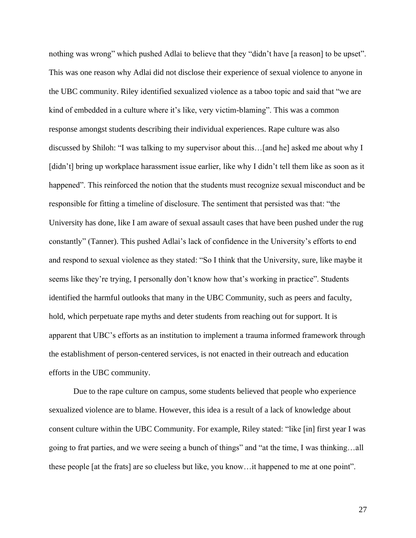nothing was wrong" which pushed Adlai to believe that they "didn't have [a reason] to be upset". This was one reason why Adlai did not disclose their experience of sexual violence to anyone in the UBC community. Riley identified sexualized violence as a taboo topic and said that "we are kind of embedded in a culture where it's like, very victim-blaming". This was a common response amongst students describing their individual experiences. Rape culture was also discussed by Shiloh: "I was talking to my supervisor about this…[and he] asked me about why I [didn't] bring up workplace harassment issue earlier, like why I didn't tell them like as soon as it happened". This reinforced the notion that the students must recognize sexual misconduct and be responsible for fitting a timeline of disclosure. The sentiment that persisted was that: "the University has done, like I am aware of sexual assault cases that have been pushed under the rug constantly" (Tanner). This pushed Adlai's lack of confidence in the University's efforts to end and respond to sexual violence as they stated: "So I think that the University, sure, like maybe it seems like they're trying, I personally don't know how that's working in practice". Students identified the harmful outlooks that many in the UBC Community, such as peers and faculty, hold, which perpetuate rape myths and deter students from reaching out for support. It is apparent that UBC's efforts as an institution to implement a trauma informed framework through the establishment of person-centered services, is not enacted in their outreach and education efforts in the UBC community.

Due to the rape culture on campus, some students believed that people who experience sexualized violence are to blame. However, this idea is a result of a lack of knowledge about consent culture within the UBC Community. For example, Riley stated: "like [in] first year I was going to frat parties, and we were seeing a bunch of things" and "at the time, I was thinking…all these people [at the frats] are so clueless but like, you know…it happened to me at one point".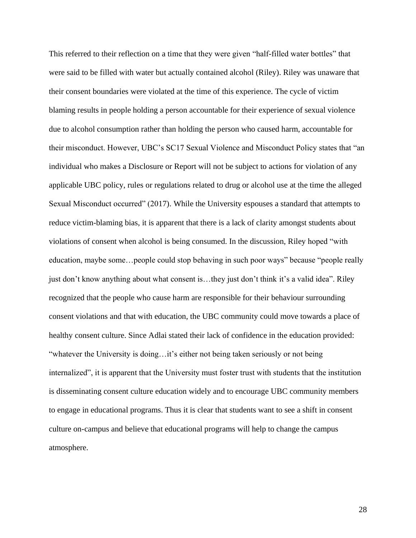This referred to their reflection on a time that they were given "half-filled water bottles" that were said to be filled with water but actually contained alcohol (Riley). Riley was unaware that their consent boundaries were violated at the time of this experience. The cycle of victim blaming results in people holding a person accountable for their experience of sexual violence due to alcohol consumption rather than holding the person who caused harm, accountable for their misconduct. However, UBC's SC17 Sexual Violence and Misconduct Policy states that "an individual who makes a Disclosure or Report will not be subject to actions for violation of any applicable UBC policy, rules or regulations related to drug or alcohol use at the time the alleged Sexual Misconduct occurred" (2017). While the University espouses a standard that attempts to reduce victim-blaming bias, it is apparent that there is a lack of clarity amongst students about violations of consent when alcohol is being consumed. In the discussion, Riley hoped "with education, maybe some…people could stop behaving in such poor ways" because "people really just don't know anything about what consent is…they just don't think it's a valid idea". Riley recognized that the people who cause harm are responsible for their behaviour surrounding consent violations and that with education, the UBC community could move towards a place of healthy consent culture. Since Adlai stated their lack of confidence in the education provided: "whatever the University is doing…it's either not being taken seriously or not being internalized", it is apparent that the University must foster trust with students that the institution is disseminating consent culture education widely and to encourage UBC community members to engage in educational programs. Thus it is clear that students want to see a shift in consent culture on-campus and believe that educational programs will help to change the campus atmosphere.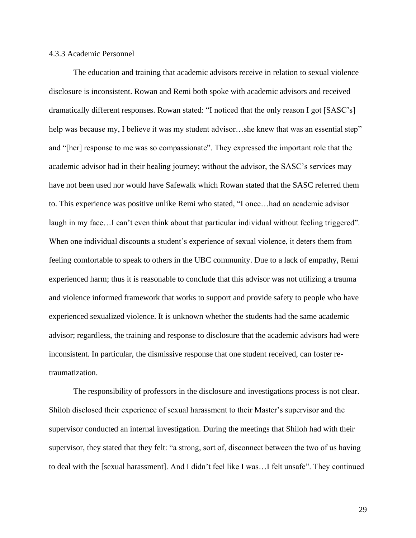#### 4.3.3 Academic Personnel

The education and training that academic advisors receive in relation to sexual violence disclosure is inconsistent. Rowan and Remi both spoke with academic advisors and received dramatically different responses. Rowan stated: "I noticed that the only reason I got [SASC's] help was because my, I believe it was my student advisor...she knew that was an essential step" and "[her] response to me was so compassionate". They expressed the important role that the academic advisor had in their healing journey; without the advisor, the SASC's services may have not been used nor would have Safewalk which Rowan stated that the SASC referred them to. This experience was positive unlike Remi who stated, "I once…had an academic advisor laugh in my face...I can't even think about that particular individual without feeling triggered". When one individual discounts a student's experience of sexual violence, it deters them from feeling comfortable to speak to others in the UBC community. Due to a lack of empathy, Remi experienced harm; thus it is reasonable to conclude that this advisor was not utilizing a trauma and violence informed framework that works to support and provide safety to people who have experienced sexualized violence. It is unknown whether the students had the same academic advisor; regardless, the training and response to disclosure that the academic advisors had were inconsistent. In particular, the dismissive response that one student received, can foster retraumatization.

The responsibility of professors in the disclosure and investigations process is not clear. Shiloh disclosed their experience of sexual harassment to their Master's supervisor and the supervisor conducted an internal investigation. During the meetings that Shiloh had with their supervisor, they stated that they felt: "a strong, sort of, disconnect between the two of us having to deal with the [sexual harassment]. And I didn't feel like I was…I felt unsafe". They continued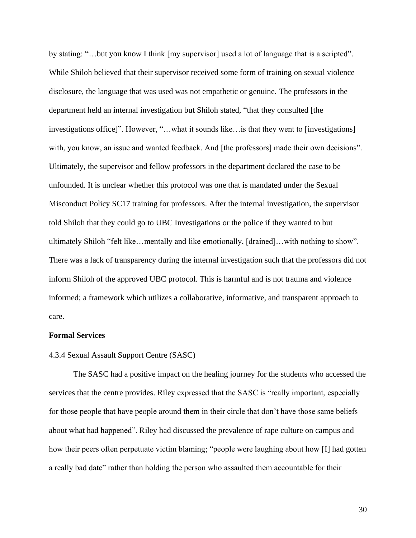by stating: "...but you know I think [my supervisor] used a lot of language that is a scripted". While Shiloh believed that their supervisor received some form of training on sexual violence disclosure, the language that was used was not empathetic or genuine. The professors in the department held an internal investigation but Shiloh stated, "that they consulted [the investigations office]". However, "…what it sounds like…is that they went to [investigations] with, you know, an issue and wanted feedback. And [the professors] made their own decisions". Ultimately, the supervisor and fellow professors in the department declared the case to be unfounded. It is unclear whether this protocol was one that is mandated under the Sexual Misconduct Policy SC17 training for professors. After the internal investigation, the supervisor told Shiloh that they could go to UBC Investigations or the police if they wanted to but ultimately Shiloh "felt like…mentally and like emotionally, [drained]…with nothing to show". There was a lack of transparency during the internal investigation such that the professors did not inform Shiloh of the approved UBC protocol. This is harmful and is not trauma and violence informed; a framework which utilizes a collaborative, informative, and transparent approach to care.

#### **Formal Services**

#### 4.3.4 Sexual Assault Support Centre (SASC)

The SASC had a positive impact on the healing journey for the students who accessed the services that the centre provides. Riley expressed that the SASC is "really important, especially for those people that have people around them in their circle that don't have those same beliefs about what had happened". Riley had discussed the prevalence of rape culture on campus and how their peers often perpetuate victim blaming; "people were laughing about how [I] had gotten a really bad date" rather than holding the person who assaulted them accountable for their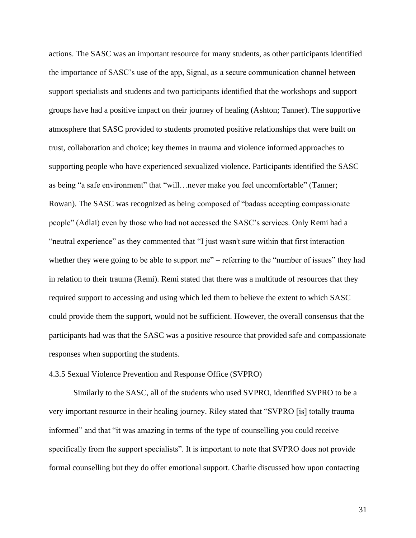actions. The SASC was an important resource for many students, as other participants identified the importance of SASC's use of the app, Signal, as a secure communication channel between support specialists and students and two participants identified that the workshops and support groups have had a positive impact on their journey of healing (Ashton; Tanner). The supportive atmosphere that SASC provided to students promoted positive relationships that were built on trust, collaboration and choice; key themes in trauma and violence informed approaches to supporting people who have experienced sexualized violence. Participants identified the SASC as being "a safe environment" that "will…never make you feel uncomfortable" (Tanner; Rowan). The SASC was recognized as being composed of "badass accepting compassionate people" (Adlai) even by those who had not accessed the SASC's services. Only Remi had a "neutral experience" as they commented that "I just wasn't sure within that first interaction whether they were going to be able to support me" – referring to the "number of issues" they had in relation to their trauma (Remi). Remi stated that there was a multitude of resources that they required support to accessing and using which led them to believe the extent to which SASC could provide them the support, would not be sufficient. However, the overall consensus that the participants had was that the SASC was a positive resource that provided safe and compassionate responses when supporting the students.

#### 4.3.5 Sexual Violence Prevention and Response Office (SVPRO)

Similarly to the SASC, all of the students who used SVPRO, identified SVPRO to be a very important resource in their healing journey. Riley stated that "SVPRO [is] totally trauma informed" and that "it was amazing in terms of the type of counselling you could receive specifically from the support specialists". It is important to note that SVPRO does not provide formal counselling but they do offer emotional support. Charlie discussed how upon contacting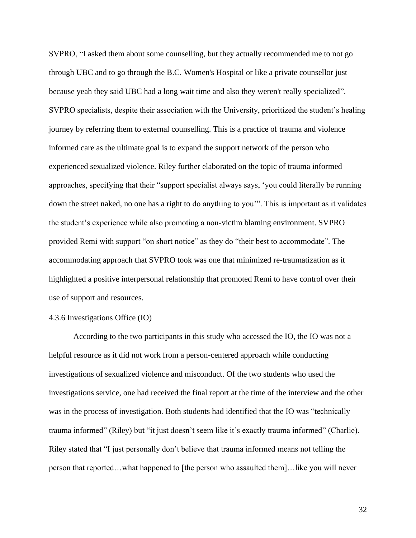SVPRO, "I asked them about some counselling, but they actually recommended me to not go through UBC and to go through the B.C. Women's Hospital or like a private counsellor just because yeah they said UBC had a long wait time and also they weren't really specialized". SVPRO specialists, despite their association with the University, prioritized the student's healing journey by referring them to external counselling. This is a practice of trauma and violence informed care as the ultimate goal is to expand the support network of the person who experienced sexualized violence. Riley further elaborated on the topic of trauma informed approaches, specifying that their "support specialist always says, 'you could literally be running down the street naked, no one has a right to do anything to you'". This is important as it validates the student's experience while also promoting a non-victim blaming environment. SVPRO provided Remi with support "on short notice" as they do "their best to accommodate". The accommodating approach that SVPRO took was one that minimized re-traumatization as it highlighted a positive interpersonal relationship that promoted Remi to have control over their use of support and resources.

#### 4.3.6 Investigations Office (IO)

According to the two participants in this study who accessed the IO, the IO was not a helpful resource as it did not work from a person-centered approach while conducting investigations of sexualized violence and misconduct. Of the two students who used the investigations service, one had received the final report at the time of the interview and the other was in the process of investigation. Both students had identified that the IO was "technically trauma informed" (Riley) but "it just doesn't seem like it's exactly trauma informed" (Charlie). Riley stated that "I just personally don't believe that trauma informed means not telling the person that reported…what happened to [the person who assaulted them]…like you will never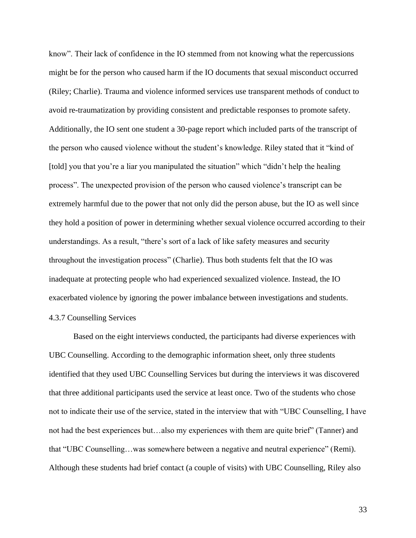know". Their lack of confidence in the IO stemmed from not knowing what the repercussions might be for the person who caused harm if the IO documents that sexual misconduct occurred (Riley; Charlie). Trauma and violence informed services use transparent methods of conduct to avoid re-traumatization by providing consistent and predictable responses to promote safety. Additionally, the IO sent one student a 30-page report which included parts of the transcript of the person who caused violence without the student's knowledge. Riley stated that it "kind of [told] you that you're a liar you manipulated the situation" which "didn't help the healing process". The unexpected provision of the person who caused violence's transcript can be extremely harmful due to the power that not only did the person abuse, but the IO as well since they hold a position of power in determining whether sexual violence occurred according to their understandings. As a result, "there's sort of a lack of like safety measures and security throughout the investigation process" (Charlie). Thus both students felt that the IO was inadequate at protecting people who had experienced sexualized violence. Instead, the IO exacerbated violence by ignoring the power imbalance between investigations and students. 4.3.7 Counselling Services

Based on the eight interviews conducted, the participants had diverse experiences with UBC Counselling. According to the demographic information sheet, only three students identified that they used UBC Counselling Services but during the interviews it was discovered that three additional participants used the service at least once. Two of the students who chose not to indicate their use of the service, stated in the interview that with "UBC Counselling, I have not had the best experiences but…also my experiences with them are quite brief" (Tanner) and that "UBC Counselling…was somewhere between a negative and neutral experience" (Remi). Although these students had brief contact (a couple of visits) with UBC Counselling, Riley also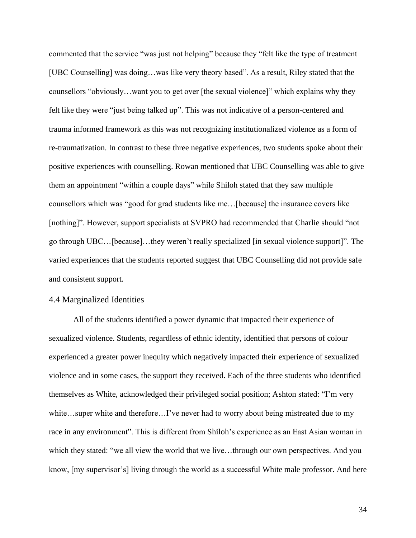commented that the service "was just not helping" because they "felt like the type of treatment [UBC Counselling] was doing…was like very theory based". As a result, Riley stated that the counsellors "obviously…want you to get over [the sexual violence]" which explains why they felt like they were "just being talked up". This was not indicative of a person-centered and trauma informed framework as this was not recognizing institutionalized violence as a form of re-traumatization. In contrast to these three negative experiences, two students spoke about their positive experiences with counselling. Rowan mentioned that UBC Counselling was able to give them an appointment "within a couple days" while Shiloh stated that they saw multiple counsellors which was "good for grad students like me…[because] the insurance covers like [nothing]". However, support specialists at SVPRO had recommended that Charlie should "not go through UBC…[because]…they weren't really specialized [in sexual violence support]". The varied experiences that the students reported suggest that UBC Counselling did not provide safe and consistent support.

#### 4.4 Marginalized Identities

All of the students identified a power dynamic that impacted their experience of sexualized violence. Students, regardless of ethnic identity, identified that persons of colour experienced a greater power inequity which negatively impacted their experience of sexualized violence and in some cases, the support they received. Each of the three students who identified themselves as White, acknowledged their privileged social position; Ashton stated: "I'm very white…super white and therefore…I've never had to worry about being mistreated due to my race in any environment". This is different from Shiloh's experience as an East Asian woman in which they stated: "we all view the world that we live…through our own perspectives. And you know, [my supervisor's] living through the world as a successful White male professor. And here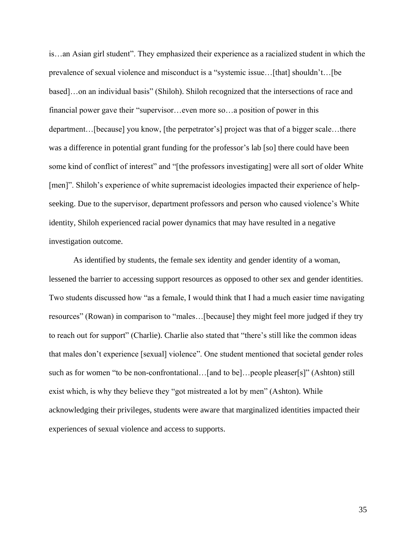is…an Asian girl student". They emphasized their experience as a racialized student in which the prevalence of sexual violence and misconduct is a "systemic issue…[that] shouldn't…[be based]…on an individual basis" (Shiloh). Shiloh recognized that the intersections of race and financial power gave their "supervisor…even more so…a position of power in this department…[because] you know, [the perpetrator's] project was that of a bigger scale…there was a difference in potential grant funding for the professor's lab [so] there could have been some kind of conflict of interest" and "[the professors investigating] were all sort of older White [men]". Shiloh's experience of white supremacist ideologies impacted their experience of helpseeking. Due to the supervisor, department professors and person who caused violence's White identity, Shiloh experienced racial power dynamics that may have resulted in a negative investigation outcome.

As identified by students, the female sex identity and gender identity of a woman, lessened the barrier to accessing support resources as opposed to other sex and gender identities. Two students discussed how "as a female, I would think that I had a much easier time navigating resources" (Rowan) in comparison to "males…[because] they might feel more judged if they try to reach out for support" (Charlie). Charlie also stated that "there's still like the common ideas that males don't experience [sexual] violence". One student mentioned that societal gender roles such as for women "to be non-confrontational...[and to be]...people pleaser[s]" (Ashton) still exist which, is why they believe they "got mistreated a lot by men" (Ashton). While acknowledging their privileges, students were aware that marginalized identities impacted their experiences of sexual violence and access to supports.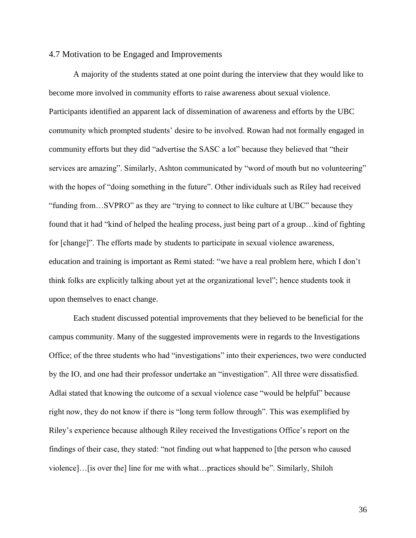#### 4.7 Motivation to be Engaged and Improvements

A majority of the students stated at one point during the interview that they would like to become more involved in community efforts to raise awareness about sexual violence. Participants identified an apparent lack of dissemination of awareness and efforts by the UBC community which prompted students' desire to be involved. Rowan had not formally engaged in community efforts but they did "advertise the SASC a lot" because they believed that "their services are amazing". Similarly, Ashton communicated by "word of mouth but no volunteering" with the hopes of "doing something in the future". Other individuals such as Riley had received "funding from…SVPRO" as they are "trying to connect to like culture at UBC" because they found that it had "kind of helped the healing process, just being part of a group…kind of fighting for [change]". The efforts made by students to participate in sexual violence awareness, education and training is important as Remi stated: "we have a real problem here, which I don't think folks are explicitly talking about yet at the organizational level"; hence students took it upon themselves to enact change.

Each student discussed potential improvements that they believed to be beneficial for the campus community. Many of the suggested improvements were in regards to the Investigations Office; of the three students who had "investigations" into their experiences, two were conducted by the IO, and one had their professor undertake an "investigation". All three were dissatisfied. Adlai stated that knowing the outcome of a sexual violence case "would be helpful" because right now, they do not know if there is "long term follow through". This was exemplified by Riley's experience because although Riley received the Investigations Office's report on the findings of their case, they stated: "not finding out what happened to [the person who caused violence]…[is over the] line for me with what…practices should be". Similarly, Shiloh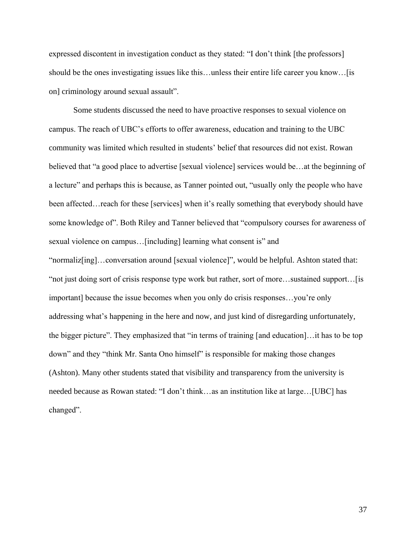expressed discontent in investigation conduct as they stated: "I don't think [the professors] should be the ones investigating issues like this…unless their entire life career you know…[is on] criminology around sexual assault".

Some students discussed the need to have proactive responses to sexual violence on campus. The reach of UBC's efforts to offer awareness, education and training to the UBC community was limited which resulted in students' belief that resources did not exist. Rowan believed that "a good place to advertise [sexual violence] services would be…at the beginning of a lecture" and perhaps this is because, as Tanner pointed out, "usually only the people who have been affected…reach for these [services] when it's really something that everybody should have some knowledge of". Both Riley and Tanner believed that "compulsory courses for awareness of sexual violence on campus…[including] learning what consent is" and "normaliz[ing]…conversation around [sexual violence]", would be helpful. Ashton stated that: "not just doing sort of crisis response type work but rather, sort of more…sustained support…[is important] because the issue becomes when you only do crisis responses…you're only addressing what's happening in the here and now, and just kind of disregarding unfortunately, the bigger picture". They emphasized that "in terms of training [and education]…it has to be top down" and they "think Mr. Santa Ono himself" is responsible for making those changes (Ashton). Many other students stated that visibility and transparency from the university is needed because as Rowan stated: "I don't think…as an institution like at large…[UBC] has changed".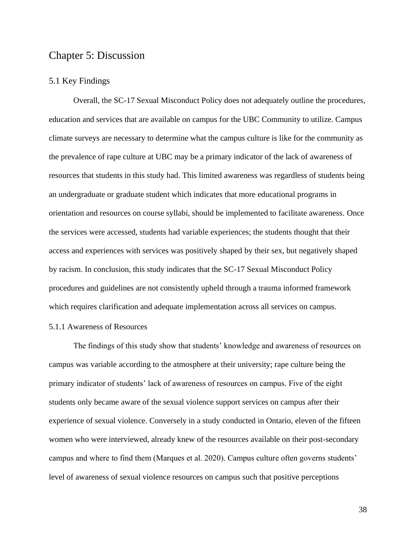## Chapter 5: Discussion

#### 5.1 Key Findings

Overall, the SC-17 Sexual Misconduct Policy does not adequately outline the procedures, education and services that are available on campus for the UBC Community to utilize. Campus climate surveys are necessary to determine what the campus culture is like for the community as the prevalence of rape culture at UBC may be a primary indicator of the lack of awareness of resources that students in this study had. This limited awareness was regardless of students being an undergraduate or graduate student which indicates that more educational programs in orientation and resources on course syllabi, should be implemented to facilitate awareness. Once the services were accessed, students had variable experiences; the students thought that their access and experiences with services was positively shaped by their sex, but negatively shaped by racism. In conclusion, this study indicates that the SC-17 Sexual Misconduct Policy procedures and guidelines are not consistently upheld through a trauma informed framework which requires clarification and adequate implementation across all services on campus.

#### 5.1.1 Awareness of Resources

The findings of this study show that students' knowledge and awareness of resources on campus was variable according to the atmosphere at their university; rape culture being the primary indicator of students' lack of awareness of resources on campus. Five of the eight students only became aware of the sexual violence support services on campus after their experience of sexual violence. Conversely in a study conducted in Ontario, eleven of the fifteen women who were interviewed, already knew of the resources available on their post-secondary campus and where to find them (Marques et al. 2020). Campus culture often governs students' level of awareness of sexual violence resources on campus such that positive perceptions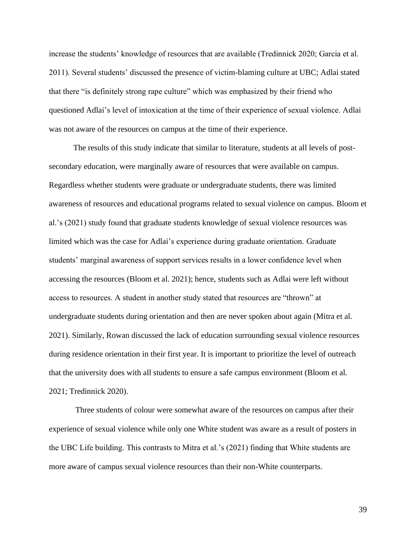increase the students' knowledge of resources that are available (Tredinnick 2020; Garcia et al. 2011). Several students' discussed the presence of victim-blaming culture at UBC; Adlai stated that there "is definitely strong rape culture" which was emphasized by their friend who questioned Adlai's level of intoxication at the time of their experience of sexual violence. Adlai was not aware of the resources on campus at the time of their experience.

The results of this study indicate that similar to literature, students at all levels of postsecondary education, were marginally aware of resources that were available on campus. Regardless whether students were graduate or undergraduate students, there was limited awareness of resources and educational programs related to sexual violence on campus. Bloom et al.'s (2021) study found that graduate students knowledge of sexual violence resources was limited which was the case for Adlai's experience during graduate orientation. Graduate students' marginal awareness of support services results in a lower confidence level when accessing the resources (Bloom et al. 2021); hence, students such as Adlai were left without access to resources. A student in another study stated that resources are "thrown" at undergraduate students during orientation and then are never spoken about again (Mitra et al. 2021). Similarly, Rowan discussed the lack of education surrounding sexual violence resources during residence orientation in their first year. It is important to prioritize the level of outreach that the university does with all students to ensure a safe campus environment (Bloom et al. 2021; Tredinnick 2020).

Three students of colour were somewhat aware of the resources on campus after their experience of sexual violence while only one White student was aware as a result of posters in the UBC Life building. This contrasts to Mitra et al.'s (2021) finding that White students are more aware of campus sexual violence resources than their non-White counterparts.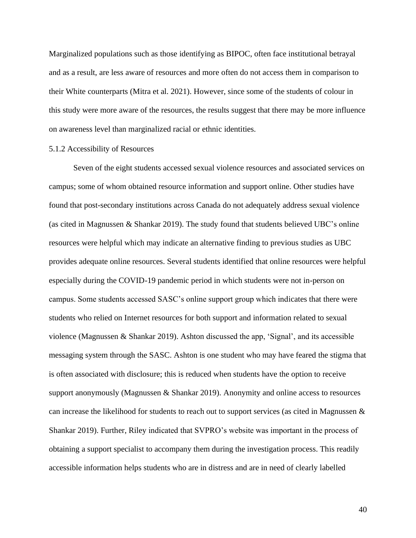Marginalized populations such as those identifying as BIPOC, often face institutional betrayal and as a result, are less aware of resources and more often do not access them in comparison to their White counterparts (Mitra et al. 2021). However, since some of the students of colour in this study were more aware of the resources, the results suggest that there may be more influence on awareness level than marginalized racial or ethnic identities.

#### 5.1.2 Accessibility of Resources

Seven of the eight students accessed sexual violence resources and associated services on campus; some of whom obtained resource information and support online. Other studies have found that post-secondary institutions across Canada do not adequately address sexual violence (as cited in Magnussen & Shankar 2019). The study found that students believed UBC's online resources were helpful which may indicate an alternative finding to previous studies as UBC provides adequate online resources. Several students identified that online resources were helpful especially during the COVID-19 pandemic period in which students were not in-person on campus. Some students accessed SASC's online support group which indicates that there were students who relied on Internet resources for both support and information related to sexual violence (Magnussen  $\&$  Shankar 2019). Ashton discussed the app, 'Signal', and its accessible messaging system through the SASC. Ashton is one student who may have feared the stigma that is often associated with disclosure; this is reduced when students have the option to receive support anonymously (Magnussen & Shankar 2019). Anonymity and online access to resources can increase the likelihood for students to reach out to support services (as cited in Magnussen & Shankar 2019). Further, Riley indicated that SVPRO's website was important in the process of obtaining a support specialist to accompany them during the investigation process. This readily accessible information helps students who are in distress and are in need of clearly labelled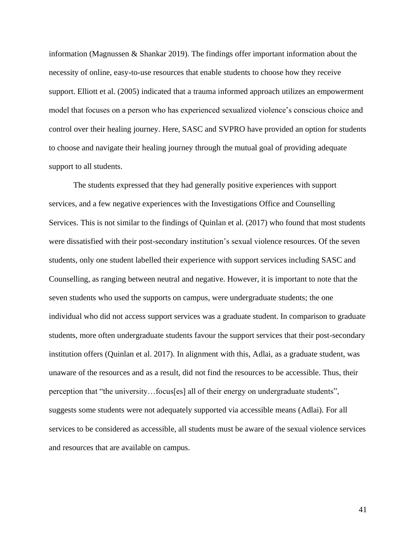information (Magnussen & Shankar 2019). The findings offer important information about the necessity of online, easy-to-use resources that enable students to choose how they receive support. Elliott et al. (2005) indicated that a trauma informed approach utilizes an empowerment model that focuses on a person who has experienced sexualized violence's conscious choice and control over their healing journey. Here, SASC and SVPRO have provided an option for students to choose and navigate their healing journey through the mutual goal of providing adequate support to all students.

The students expressed that they had generally positive experiences with support services, and a few negative experiences with the Investigations Office and Counselling Services. This is not similar to the findings of Quinlan et al. (2017) who found that most students were dissatisfied with their post-secondary institution's sexual violence resources. Of the seven students, only one student labelled their experience with support services including SASC and Counselling, as ranging between neutral and negative. However, it is important to note that the seven students who used the supports on campus, were undergraduate students; the one individual who did not access support services was a graduate student. In comparison to graduate students, more often undergraduate students favour the support services that their post-secondary institution offers (Quinlan et al. 2017). In alignment with this, Adlai, as a graduate student, was unaware of the resources and as a result, did not find the resources to be accessible. Thus, their perception that "the university…focus[es] all of their energy on undergraduate students", suggests some students were not adequately supported via accessible means (Adlai). For all services to be considered as accessible, all students must be aware of the sexual violence services and resources that are available on campus.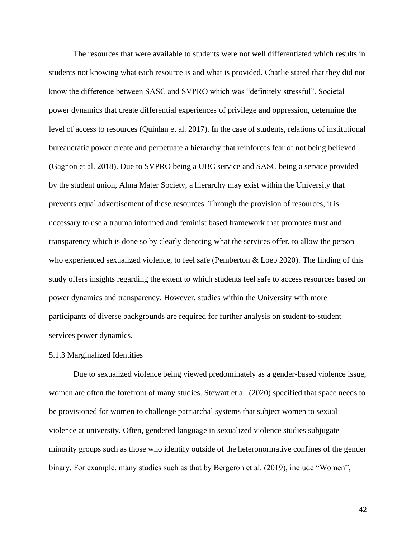The resources that were available to students were not well differentiated which results in students not knowing what each resource is and what is provided. Charlie stated that they did not know the difference between SASC and SVPRO which was "definitely stressful". Societal power dynamics that create differential experiences of privilege and oppression, determine the level of access to resources (Quinlan et al. 2017). In the case of students, relations of institutional bureaucratic power create and perpetuate a hierarchy that reinforces fear of not being believed (Gagnon et al. 2018). Due to SVPRO being a UBC service and SASC being a service provided by the student union, Alma Mater Society, a hierarchy may exist within the University that prevents equal advertisement of these resources. Through the provision of resources, it is necessary to use a trauma informed and feminist based framework that promotes trust and transparency which is done so by clearly denoting what the services offer, to allow the person who experienced sexualized violence, to feel safe (Pemberton & Loeb 2020). The finding of this study offers insights regarding the extent to which students feel safe to access resources based on power dynamics and transparency. However, studies within the University with more participants of diverse backgrounds are required for further analysis on student-to-student services power dynamics.

#### 5.1.3 Marginalized Identities

Due to sexualized violence being viewed predominately as a gender-based violence issue, women are often the forefront of many studies. Stewart et al. (2020) specified that space needs to be provisioned for women to challenge patriarchal systems that subject women to sexual violence at university. Often, gendered language in sexualized violence studies subjugate minority groups such as those who identify outside of the heteronormative confines of the gender binary. For example, many studies such as that by Bergeron et al. (2019), include "Women",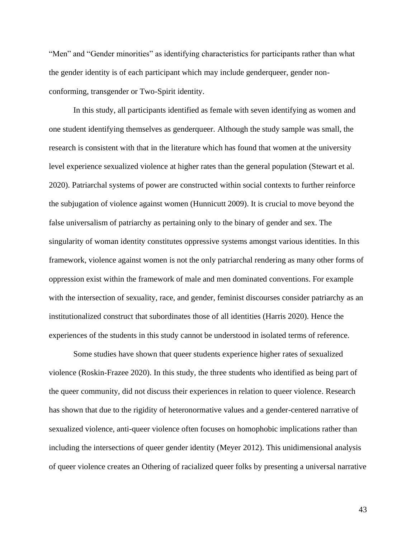"Men" and "Gender minorities" as identifying characteristics for participants rather than what the gender identity is of each participant which may include genderqueer, gender nonconforming, transgender or Two-Spirit identity.

In this study, all participants identified as female with seven identifying as women and one student identifying themselves as genderqueer. Although the study sample was small, the research is consistent with that in the literature which has found that women at the university level experience sexualized violence at higher rates than the general population (Stewart et al. 2020). Patriarchal systems of power are constructed within social contexts to further reinforce the subjugation of violence against women (Hunnicutt 2009). It is crucial to move beyond the false universalism of patriarchy as pertaining only to the binary of gender and sex. The singularity of woman identity constitutes oppressive systems amongst various identities. In this framework, violence against women is not the only patriarchal rendering as many other forms of oppression exist within the framework of male and men dominated conventions. For example with the intersection of sexuality, race, and gender, feminist discourses consider patriarchy as an institutionalized construct that subordinates those of all identities (Harris 2020). Hence the experiences of the students in this study cannot be understood in isolated terms of reference.

Some studies have shown that queer students experience higher rates of sexualized violence (Roskin-Frazee 2020). In this study, the three students who identified as being part of the queer community, did not discuss their experiences in relation to queer violence. Research has shown that due to the rigidity of heteronormative values and a gender-centered narrative of sexualized violence, anti-queer violence often focuses on homophobic implications rather than including the intersections of queer gender identity (Meyer 2012). This unidimensional analysis of queer violence creates an Othering of racialized queer folks by presenting a universal narrative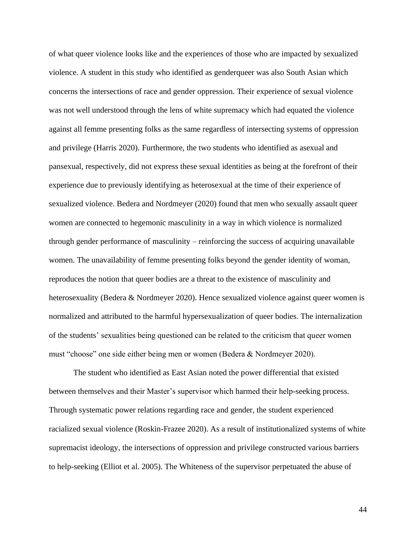of what queer violence looks like and the experiences of those who are impacted by sexualized violence. A student in this study who identified as genderqueer was also South Asian which concerns the intersections of race and gender oppression. Their experience of sexual violence was not well understood through the lens of white supremacy which had equated the violence against all femme presenting folks as the same regardless of intersecting systems of oppression and privilege (Harris 2020). Furthermore, the two students who identified as asexual and pansexual, respectively, did not express these sexual identities as being at the forefront of their experience due to previously identifying as heterosexual at the time of their experience of sexualized violence. Bedera and Nordmeyer (2020) found that men who sexually assault queer women are connected to hegemonic masculinity in a way in which violence is normalized through gender performance of masculinity – reinforcing the success of acquiring unavailable women. The unavailability of femme presenting folks beyond the gender identity of woman, reproduces the notion that queer bodies are a threat to the existence of masculinity and heterosexuality (Bedera & Nordmeyer 2020). Hence sexualized violence against queer women is normalized and attributed to the harmful hypersexualization of queer bodies. The internalization of the students' sexualities being questioned can be related to the criticism that queer women must "choose" one side either being men or women (Bedera & Nordmeyer 2020).

The student who identified as East Asian noted the power differential that existed between themselves and their Master's supervisor which harmed their help-seeking process. Through systematic power relations regarding race and gender, the student experienced racialized sexual violence (Roskin-Frazee 2020). As a result of institutionalized systems of white supremacist ideology, the intersections of oppression and privilege constructed various barriers to help-seeking (Elliot et al. 2005). The Whiteness of the supervisor perpetuated the abuse of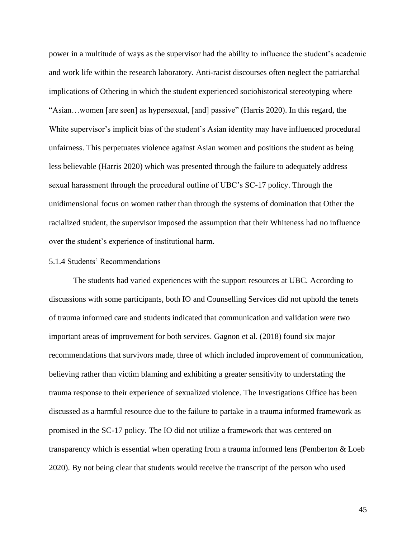power in a multitude of ways as the supervisor had the ability to influence the student's academic and work life within the research laboratory. Anti-racist discourses often neglect the patriarchal implications of Othering in which the student experienced sociohistorical stereotyping where "Asian…women [are seen] as hypersexual, [and] passive" (Harris 2020). In this regard, the White supervisor's implicit bias of the student's Asian identity may have influenced procedural unfairness. This perpetuates violence against Asian women and positions the student as being less believable (Harris 2020) which was presented through the failure to adequately address sexual harassment through the procedural outline of UBC's SC-17 policy. Through the unidimensional focus on women rather than through the systems of domination that Other the racialized student, the supervisor imposed the assumption that their Whiteness had no influence over the student's experience of institutional harm.

#### 5.1.4 Students' Recommendations

The students had varied experiences with the support resources at UBC. According to discussions with some participants, both IO and Counselling Services did not uphold the tenets of trauma informed care and students indicated that communication and validation were two important areas of improvement for both services. Gagnon et al. (2018) found six major recommendations that survivors made, three of which included improvement of communication, believing rather than victim blaming and exhibiting a greater sensitivity to understating the trauma response to their experience of sexualized violence. The Investigations Office has been discussed as a harmful resource due to the failure to partake in a trauma informed framework as promised in the SC-17 policy. The IO did not utilize a framework that was centered on transparency which is essential when operating from a trauma informed lens (Pemberton & Loeb 2020). By not being clear that students would receive the transcript of the person who used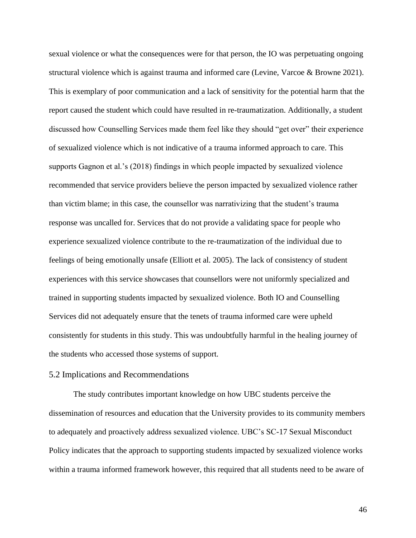sexual violence or what the consequences were for that person, the IO was perpetuating ongoing structural violence which is against trauma and informed care (Levine, Varcoe & Browne 2021). This is exemplary of poor communication and a lack of sensitivity for the potential harm that the report caused the student which could have resulted in re-traumatization. Additionally, a student discussed how Counselling Services made them feel like they should "get over" their experience of sexualized violence which is not indicative of a trauma informed approach to care. This supports Gagnon et al.'s (2018) findings in which people impacted by sexualized violence recommended that service providers believe the person impacted by sexualized violence rather than victim blame; in this case, the counsellor was narrativizing that the student's trauma response was uncalled for. Services that do not provide a validating space for people who experience sexualized violence contribute to the re-traumatization of the individual due to feelings of being emotionally unsafe (Elliott et al. 2005). The lack of consistency of student experiences with this service showcases that counsellors were not uniformly specialized and trained in supporting students impacted by sexualized violence. Both IO and Counselling Services did not adequately ensure that the tenets of trauma informed care were upheld consistently for students in this study. This was undoubtfully harmful in the healing journey of the students who accessed those systems of support.

#### 5.2 Implications and Recommendations

The study contributes important knowledge on how UBC students perceive the dissemination of resources and education that the University provides to its community members to adequately and proactively address sexualized violence. UBC's SC-17 Sexual Misconduct Policy indicates that the approach to supporting students impacted by sexualized violence works within a trauma informed framework however, this required that all students need to be aware of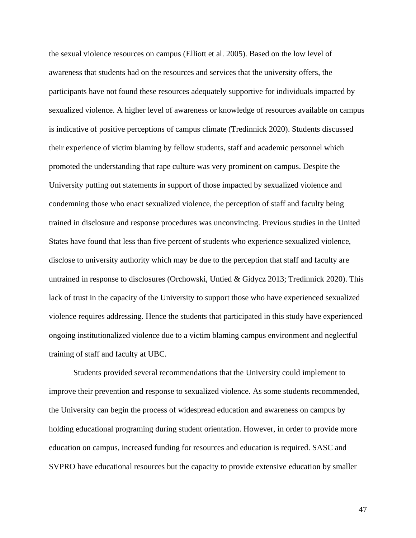the sexual violence resources on campus (Elliott et al. 2005). Based on the low level of awareness that students had on the resources and services that the university offers, the participants have not found these resources adequately supportive for individuals impacted by sexualized violence. A higher level of awareness or knowledge of resources available on campus is indicative of positive perceptions of campus climate (Tredinnick 2020). Students discussed their experience of victim blaming by fellow students, staff and academic personnel which promoted the understanding that rape culture was very prominent on campus. Despite the University putting out statements in support of those impacted by sexualized violence and condemning those who enact sexualized violence, the perception of staff and faculty being trained in disclosure and response procedures was unconvincing. Previous studies in the United States have found that less than five percent of students who experience sexualized violence, disclose to university authority which may be due to the perception that staff and faculty are untrained in response to disclosures (Orchowski, Untied & Gidycz 2013; Tredinnick 2020). This lack of trust in the capacity of the University to support those who have experienced sexualized violence requires addressing. Hence the students that participated in this study have experienced ongoing institutionalized violence due to a victim blaming campus environment and neglectful training of staff and faculty at UBC.

Students provided several recommendations that the University could implement to improve their prevention and response to sexualized violence. As some students recommended, the University can begin the process of widespread education and awareness on campus by holding educational programing during student orientation. However, in order to provide more education on campus, increased funding for resources and education is required. SASC and SVPRO have educational resources but the capacity to provide extensive education by smaller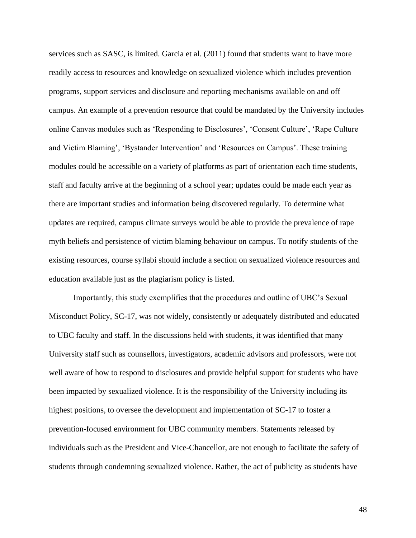services such as SASC, is limited. Garcia et al. (2011) found that students want to have more readily access to resources and knowledge on sexualized violence which includes prevention programs, support services and disclosure and reporting mechanisms available on and off campus. An example of a prevention resource that could be mandated by the University includes online Canvas modules such as 'Responding to Disclosures', 'Consent Culture', 'Rape Culture and Victim Blaming', 'Bystander Intervention' and 'Resources on Campus'. These training modules could be accessible on a variety of platforms as part of orientation each time students, staff and faculty arrive at the beginning of a school year; updates could be made each year as there are important studies and information being discovered regularly. To determine what updates are required, campus climate surveys would be able to provide the prevalence of rape myth beliefs and persistence of victim blaming behaviour on campus. To notify students of the existing resources, course syllabi should include a section on sexualized violence resources and education available just as the plagiarism policy is listed.

Importantly, this study exemplifies that the procedures and outline of UBC's Sexual Misconduct Policy, SC-17, was not widely, consistently or adequately distributed and educated to UBC faculty and staff. In the discussions held with students, it was identified that many University staff such as counsellors, investigators, academic advisors and professors, were not well aware of how to respond to disclosures and provide helpful support for students who have been impacted by sexualized violence. It is the responsibility of the University including its highest positions, to oversee the development and implementation of SC-17 to foster a prevention-focused environment for UBC community members. Statements released by individuals such as the President and Vice-Chancellor, are not enough to facilitate the safety of students through condemning sexualized violence. Rather, the act of publicity as students have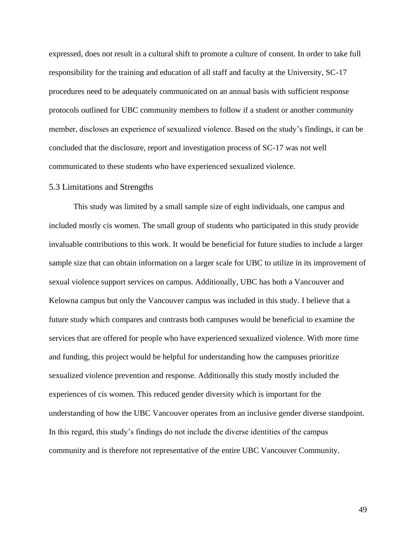expressed, does not result in a cultural shift to promote a culture of consent. In order to take full responsibility for the training and education of all staff and faculty at the University, SC-17 procedures need to be adequately communicated on an annual basis with sufficient response protocols outlined for UBC community members to follow if a student or another community member, discloses an experience of sexualized violence. Based on the study's findings, it can be concluded that the disclosure, report and investigation process of SC-17 was not well communicated to these students who have experienced sexualized violence.

#### 5.3 Limitations and Strengths

This study was limited by a small sample size of eight individuals, one campus and included mostly cis women. The small group of students who participated in this study provide invaluable contributions to this work. It would be beneficial for future studies to include a larger sample size that can obtain information on a larger scale for UBC to utilize in its improvement of sexual violence support services on campus. Additionally, UBC has both a Vancouver and Kelowna campus but only the Vancouver campus was included in this study. I believe that a future study which compares and contrasts both campuses would be beneficial to examine the services that are offered for people who have experienced sexualized violence. With more time and funding, this project would be helpful for understanding how the campuses prioritize sexualized violence prevention and response. Additionally this study mostly included the experiences of cis women. This reduced gender diversity which is important for the understanding of how the UBC Vancouver operates from an inclusive gender diverse standpoint. In this regard, this study's findings do not include the diverse identities of the campus community and is therefore not representative of the entire UBC Vancouver Community.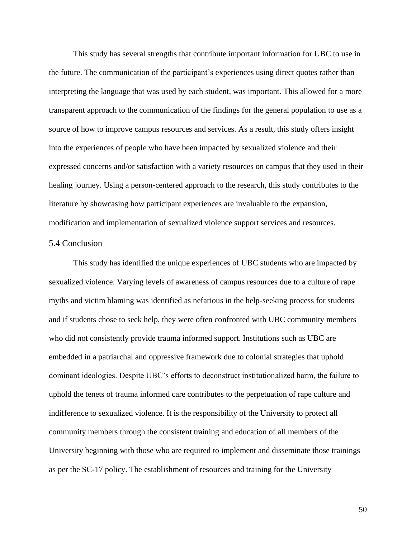This study has several strengths that contribute important information for UBC to use in the future. The communication of the participant's experiences using direct quotes rather than interpreting the language that was used by each student, was important. This allowed for a more transparent approach to the communication of the findings for the general population to use as a source of how to improve campus resources and services. As a result, this study offers insight into the experiences of people who have been impacted by sexualized violence and their expressed concerns and/or satisfaction with a variety resources on campus that they used in their healing journey. Using a person-centered approach to the research, this study contributes to the literature by showcasing how participant experiences are invaluable to the expansion, modification and implementation of sexualized violence support services and resources.

#### 5.4 Conclusion

This study has identified the unique experiences of UBC students who are impacted by sexualized violence. Varying levels of awareness of campus resources due to a culture of rape myths and victim blaming was identified as nefarious in the help-seeking process for students and if students chose to seek help, they were often confronted with UBC community members who did not consistently provide trauma informed support. Institutions such as UBC are embedded in a patriarchal and oppressive framework due to colonial strategies that uphold dominant ideologies. Despite UBC's efforts to deconstruct institutionalized harm, the failure to uphold the tenets of trauma informed care contributes to the perpetuation of rape culture and indifference to sexualized violence. It is the responsibility of the University to protect all community members through the consistent training and education of all members of the University beginning with those who are required to implement and disseminate those trainings as per the SC-17 policy. The establishment of resources and training for the University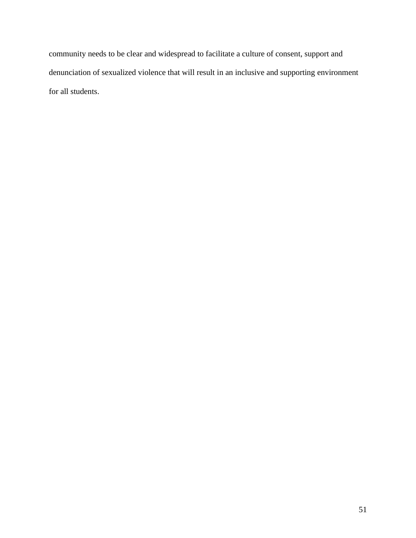community needs to be clear and widespread to facilitate a culture of consent, support and denunciation of sexualized violence that will result in an inclusive and supporting environment for all students.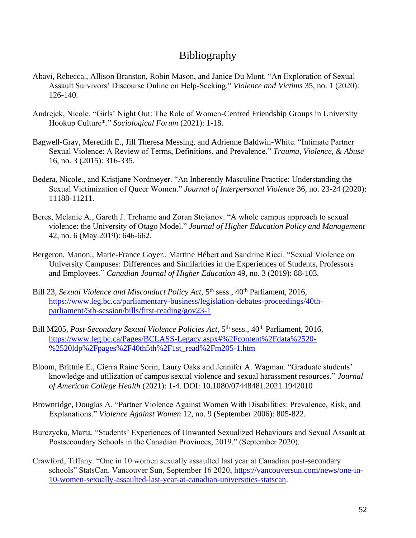# Bibliography

- Abavi, Rebecca., Allison Branston, Robin Mason, and Janice Du Mont. "An Exploration of Sexual Assault Survivors' Discourse Online on Help-Seeking." *Violence and Victims* 35, no. 1 (2020): 126-140.
- Andrejek, Nicole. "Girls' Night Out: The Role of Women-Centred Friendship Groups in University Hookup Culture\*." *Sociological Forum* (2021): 1-18.
- Bagwell-Gray, Meredith E., Jill Theresa Messing, and Adrienne Baldwin-White. "Intimate Partner Sexual Violence: A Review of Terms, Definitions, and Prevalence." *Trauma, Violence, & Abuse* 16, no. 3 (2015): 316-335.
- Bedera, Nicole., and Kristjane Nordmeyer. "An Inherently Masculine Practice: Understanding the Sexual Victimization of Queer Women." *Journal of Interpersonal Violence* 36, no. 23-24 (2020): 11188-11211.
- Beres, Melanie A., Gareth J. Treharne and Zoran Stojanov. "A whole campus approach to sexual violence: the University of Otago Model." *Journal of Higher Education Policy and Management*  42, no. 6 (May 2019): 646-662.
- Bergeron, Manon., Marie-France Goyer., Martine Hébert and Sandrine Ricci. "Sexual Violence on University Campuses: Differences and Similarities in the Experiences of Students, Professors and Employees." *Canadian Journal of Higher Education* 49, no. 3 (2019): 88-103.
- Bill 23, *Sexual Violence and Misconduct Policy Act*, 5<sup>th</sup> sess., 40<sup>th</sup> Parliament, 2016, [https://www.leg.bc.ca/parliamentary-business/legislation-debates-proceedings/40th](https://www.leg.bc.ca/parliamentary-business/legislation-debates-proceedings/40th-parliament/5th-session/bills/first-reading/gov23-1)[parliament/5th-session/bills/first-reading/gov23-1](https://www.leg.bc.ca/parliamentary-business/legislation-debates-proceedings/40th-parliament/5th-session/bills/first-reading/gov23-1)
- Bill M205, *Post-Secondary Sexual Violence Policies Act*, 5<sup>th</sup> sess., 40<sup>th</sup> Parliament, 2016, [https://www.leg.bc.ca/Pages/BCLASS-Legacy.aspx#%2Fcontent%2Fdata%2520-](https://www.leg.bc.ca/Pages/BCLASS-Legacy.aspx#%2Fcontent%2Fdata%2520-%2520ldp%2Fpages%2F40th5th%2F1st_read%2Fm205-1.htm) [%2520ldp%2Fpages%2F40th5th%2F1st\\_read%2Fm205-1.htm](https://www.leg.bc.ca/Pages/BCLASS-Legacy.aspx#%2Fcontent%2Fdata%2520-%2520ldp%2Fpages%2F40th5th%2F1st_read%2Fm205-1.htm)
- Bloom, Brittnie E., Cierra Raine Sorin, Laury Oaks and Jennifer A. Wagman. "Graduate students' knowledge and utilization of campus sexual violence and sexual harassment resources." *Journal of American College Health* (2021): 1-4. DOI: 10.1080/07448481.2021.1942010
- Brownridge, Douglas A. "Partner Violence Against Women With Disabilities: Prevalence, Risk, and Explanations." *Violence Against Women* 12, no. 9 (September 2006): 805-822.
- Burczycka, Marta. "Students' Experiences of Unwanted Sexualized Behaviours and Sexual Assault at Postsecondary Schools in the Canadian Provinces, 2019." (September 2020).
- Crawford, Tiffany. "One in 10 women sexually assaulted last year at Canadian post-secondary schools" StatsCan. Vancouver Sun, September 16 2020, [https://vancouversun.com/news/one-in-](https://vancouversun.com/news/one-in-10-women-sexually-assaulted-last-year-at-canadian-universities-statscan)[10-women-sexually-assaulted-last-year-at-canadian-universities-statscan.](https://vancouversun.com/news/one-in-10-women-sexually-assaulted-last-year-at-canadian-universities-statscan)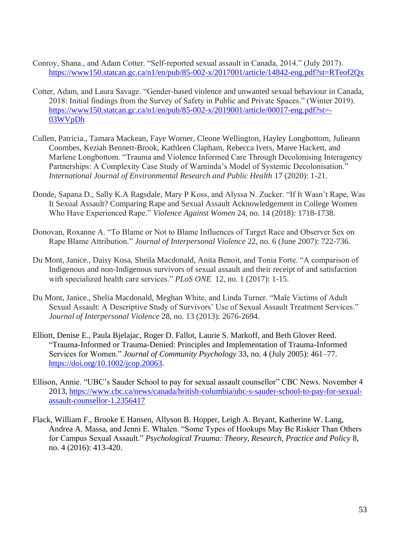- Conroy, Shana., and Adam Cotter. "Self-reported sexual assault in Canada, 2014." (July 2017). <https://www150.statcan.gc.ca/n1/en/pub/85-002-x/2017001/article/14842-eng.pdf?st=RTeof2Qx>
- Cotter, Adam, and Laura Savage. "Gender-based violence and unwanted sexual behaviour in Canada, 2018: Initial findings from the Survey of Safety in Public and Private Spaces." (Winter 2019). [https://www150.statcan.gc.ca/n1/en/pub/85-002-x/2019001/article/00017-eng.pdf?st=-](https://www150.statcan.gc.ca/n1/en/pub/85-002-x/2019001/article/00017-eng.pdf?st=-03WVpDh) [03WVpDh](https://www150.statcan.gc.ca/n1/en/pub/85-002-x/2019001/article/00017-eng.pdf?st=-03WVpDh)
- Cullen, Patricia., Tamara Mackean, Faye Worner, Cleone Wellington, Hayley Longbottom, Julieann Coombes, Keziah Bennett-Brook, Kathleen Clapham, Rebecca Ivers, Maree Hackett, and Marlene Longbottom. "Trauma and Violence Informed Care Through Decolonising Interagency Partnerships: A Complexity Case Study of Waminda's Model of Systemic Decolonisation." *International Journal of Environmental Research and Public Health* 17 (2020): 1-21.
- Donde, Sapana D., Sally K.A Ragsdale, Mary P Koss, and Alyssa N. Zucker. "If It Wasn't Rape, Was It Sexual Assault? Comparing Rape and Sexual Assault Acknowledgement in College Women Who Have Experienced Rape." *Violence Against Women* 24, no. 14 (2018): 1718-1738.
- Donovan, Roxanne A. "To Blame or Not to Blame Influences of Target Race and Observer Sex on Rape Blame Attribution." *Journal of Interpersonal Violence* 22, no. 6 (June 2007): 722-736.
- Du Mont, Janice., Daisy Kosa, Sheila Macdonald, Anita Benoit, and Tonia Forte. "A comparison of Indigenous and non-Indigenous survivors of sexual assault and their receipt of and satisfaction with specialized health care services." *PLoS ONE* 12, no. 1 (2017): 1-15.
- Du Mont, Janice., Shelia Macdonald, Meghan White, and Linda Turner. "Male Victims of Adult Sexual Assault: A Descriptive Study of Survivors' Use of Sexual Assault Treatment Services." *Journal of Interpersonal Violence* 28, no. 13 (2013): 2676-2694.
- Elliott, Denise E., Paula Bjelajac, Roger D. Fallot, Laurie S. Markoff, and Beth Glover Reed. "Trauma-Informed or Trauma-Denied: Principles and Implementation of Trauma-Informed Services for Women." *Journal of Community Psychology* 33, no. 4 (July 2005): 461–77. [https://doi.org/10.1002/jcop.20063.](https://doi.org/10.1002/jcop.20063)
- Ellison, Annie. "UBC's Sauder School to pay for sexual assault counsellor" CBC News. November 4 2013, [https://www.cbc.ca/news/canada/british-columbia/ubc-s-sauder-school-to-pay-for-sexual](https://www.cbc.ca/news/canada/british-columbia/ubc-s-sauder-school-to-pay-for-sexual-assault-counsellor-1.2356417)[assault-counsellor-1.2356417](https://www.cbc.ca/news/canada/british-columbia/ubc-s-sauder-school-to-pay-for-sexual-assault-counsellor-1.2356417)
- Flack, William F., Brooke E Hansen, Allyson B. Hopper, Leigh A. Bryant, Katherine W. Lang, Andrea A. Massa, and Jenni E. Whalen. "Some Types of Hookups May Be Riskier Than Others for Campus Sexual Assault." *Psychological Trauma: Theory, Research, Practice and Policy* 8, no. 4 (2016): 413-420.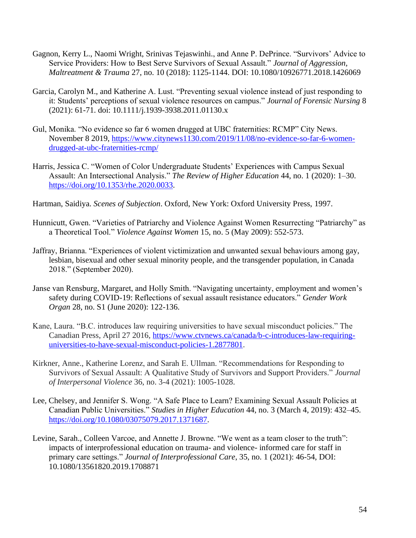- Gagnon, Kerry L., Naomi Wright, Srinivas Tejaswinhi., and Anne P. DePrince. "Survivors' Advice to Service Providers: How to Best Serve Survivors of Sexual Assault." *Journal of Aggression, Maltreatment & Trauma* 27, no. 10 (2018): 1125-1144. DOI: 10.1080/10926771.2018.1426069
- Garcia, Carolyn M., and Katherine A. Lust. "Preventing sexual violence instead of just responding to it: Students' perceptions of sexual violence resources on campus." *Journal of Forensic Nursing* 8 (2021): 61-71. doi: 10.1111/j.1939-3938.2011.01130.x
- Gul, Monika. "No evidence so far 6 women drugged at UBC fraternities: RCMP" City News. November 8 2019, [https://www.citynews1130.com/2019/11/08/no-evidence-so-far-6-women](https://www.citynews1130.com/2019/11/08/no-evidence-so-far-6-women-drugged-at-ubc-fraternities-rcmp/)[drugged-at-ubc-fraternities-rcmp/](https://www.citynews1130.com/2019/11/08/no-evidence-so-far-6-women-drugged-at-ubc-fraternities-rcmp/)
- Harris, Jessica C. "Women of Color Undergraduate Students' Experiences with Campus Sexual Assault: An Intersectional Analysis." *The Review of Higher Education* 44, no. 1 (2020): 1–30. [https://doi.org/10.1353/rhe.2020.0033.](https://doi.org/10.1353/rhe.2020.0033)
- Hartman, Saidiya. *Scenes of Subjection*. Oxford, New York: Oxford University Press, 1997.
- Hunnicutt, Gwen. "Varieties of Patriarchy and Violence Against Women Resurrecting "Patriarchy" as a Theoretical Tool." *Violence Against Women* 15, no. 5 (May 2009): 552-573.
- Jaffray, Brianna. "Experiences of violent victimization and unwanted sexual behaviours among gay, lesbian, bisexual and other sexual minority people, and the transgender population, in Canada 2018." (September 2020).
- Janse van Rensburg, Margaret, and Holly Smith. "Navigating uncertainty, employment and women's safety during COVID-19: Reflections of sexual assault resistance educators." *Gender Work Organ* 28, no. S1 (June 2020): 122-136.
- Kane, Laura. "B.C. introduces law requiring universities to have sexual misconduct policies." The Canadian Press, April 27 2016, [https://www.ctvnews.ca/canada/b-c-introduces-law-requiring](https://www.ctvnews.ca/canada/b-c-introduces-law-requiring-universities-to-have-sexual-misconduct-policies-1.2877801)[universities-to-have-sexual-misconduct-policies-1.2877801.](https://www.ctvnews.ca/canada/b-c-introduces-law-requiring-universities-to-have-sexual-misconduct-policies-1.2877801)
- Kirkner, Anne., Katherine Lorenz, and Sarah E. Ullman. "Recommendations for Responding to Survivors of Sexual Assault: A Qualitative Study of Survivors and Support Providers." *Journal of Interpersonal Violence* 36, no. 3-4 (2021): 1005-1028.
- Lee, Chelsey, and Jennifer S. Wong. "A Safe Place to Learn? Examining Sexual Assault Policies at Canadian Public Universities." *Studies in Higher Education* 44, no. 3 (March 4, 2019): 432–45. [https://doi.org/10.1080/03075079.2017.1371687.](https://doi.org/10.1080/03075079.2017.1371687)
- Levine, Sarah., Colleen Varcoe, and Annette J. Browne. "We went as a team closer to the truth": impacts of interprofessional education on trauma- and violence- informed care for staff in primary care settings." *Journal of Interprofessional Care*, 35, no. 1 (2021): 46-54, DOI: 10.1080/13561820.2019.1708871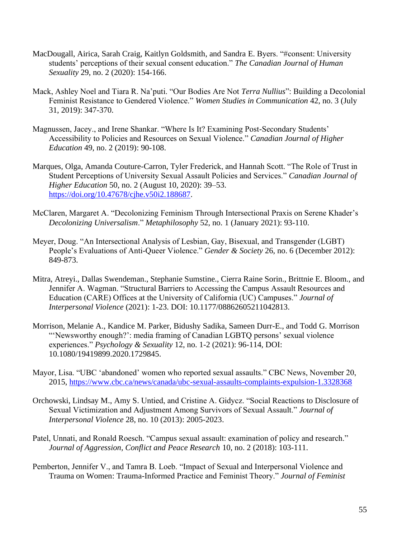- MacDougall, Airica, Sarah Craig, Kaitlyn Goldsmith, and Sandra E. Byers. "#consent: University students' perceptions of their sexual consent education." *The Canadian Journal of Human Sexuality* 29, no. 2 (2020): 154-166.
- Mack, Ashley Noel and Tiara R. Na'puti. "Our Bodies Are Not *Terra Nullius*": Building a Decolonial Feminist Resistance to Gendered Violence." *Women Studies in Communication* 42, no. 3 (July 31, 2019): 347-370.
- Magnussen, Jacey., and Irene Shankar. "Where Is It? Examining Post-Secondary Students' Accessibility to Policies and Resources on Sexual Violence." *Canadian Journal of Higher Education* 49, no. 2 (2019): 90-108.
- Marques, Olga, Amanda Couture-Carron, Tyler Frederick, and Hannah Scott. "The Role of Trust in Student Perceptions of University Sexual Assault Policies and Services." *Canadian Journal of Higher Education* 50, no. 2 (August 10, 2020): 39–53. [https://doi.org/10.47678/cjhe.v50i2.188687.](https://doi.org/10.47678/cjhe.v50i2.188687)
- McClaren, Margaret A. "Decolonizing Feminism Through Intersectional Praxis on Serene Khader's *Decolonizing Universalism*." *Metaphilosophy* 52, no. 1 (January 2021): 93-110.
- Meyer, Doug. "An Intersectional Analysis of Lesbian, Gay, Bisexual, and Transgender (LGBT) People's Evaluations of Anti-Queer Violence." *Gender & Society* 26, no. 6 (December 2012): 849-873.
- Mitra, Atreyi., Dallas Swendeman., Stephanie Sumstine., Cierra Raine Sorin., Brittnie E. Bloom., and Jennifer A. Wagman. "Structural Barriers to Accessing the Campus Assault Resources and Education (CARE) Offices at the University of California (UC) Campuses." *Journal of Interpersonal Violence* (2021): 1-23. DOI: 10.1177/08862605211042813.
- Morrison, Melanie A., Kandice M. Parker, Bidushy Sadika, Sameen Durr-E., and Todd G. Morrison "'Newsworthy enough?': media framing of Canadian LGBTQ persons' sexual violence experiences." *Psychology & Sexuality* 12, no. 1-2 (2021): 96-114, DOI: 10.1080/19419899.2020.1729845.
- Mayor, Lisa. "UBC 'abandoned' women who reported sexual assaults." CBC News, November 20, 2015,<https://www.cbc.ca/news/canada/ubc-sexual-assaults-complaints-expulsion-1.3328368>
- Orchowski, Lindsay M., Amy S. Untied, and Cristine A. Gidycz. "Social Reactions to Disclosure of Sexual Victimization and Adjustment Among Survivors of Sexual Assault." *Journal of Interpersonal Violence* 28, no. 10 (2013): 2005-2023.
- Patel, Unnati, and Ronald Roesch. "Campus sexual assault: examination of policy and research." *Journal of Aggression, Conflict and Peace Research* 10, no. 2 (2018): 103-111.
- Pemberton, Jennifer V., and Tamra B. Loeb. "Impact of Sexual and Interpersonal Violence and Trauma on Women: Trauma-Informed Practice and Feminist Theory." *Journal of Feminist*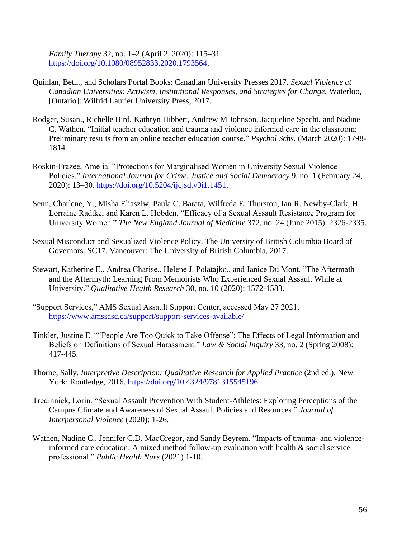*Family Therapy* 32, no. 1–2 (April 2, 2020): 115–31. [https://doi.org/10.1080/08952833.2020.1793564.](https://doi.org/10.1080/08952833.2020.1793564)

- Quinlan, Beth., and Scholars Portal Books: Canadian University Presses 2017. *Sexual Violence at Canadian Universities: Activism, Institutional Responses, and Strategies for Change.* Waterloo, [Ontario]: Wilfrid Laurier University Press, 2017.
- Rodger, Susan., Richelle Bird, Kathryn Hibbert, Andrew M Johnson, Jacqueline Specht, and Nadine C. Wathen. "Initial teacher education and trauma and violence informed care in the classroom: Preliminary results from an online teacher education course." *Psychol Schs.* (March 2020): 1798- 1814.
- Roskin-Frazee, Amelia. "Protections for Marginalised Women in University Sexual Violence Policies." *International Journal for Crime, Justice and Social Democracy* 9, no. 1 (February 24, 2020): 13–30. [https://doi.org/10.5204/ijcjsd.v9i1.1451.](https://doi.org/10.5204/ijcjsd.v9i1.1451)
- Senn, Charlene, Y., Misha Eliasziw, Paula C. Barata, Wilfreda E. Thurston, Ian R. Newby-Clark, H. Lorraine Radtke, and Karen L. Hobden. "Efficacy of a Sexual Assault Resistance Program for University Women." *The New England Journal of Medicine* 372, no. 24 (June 2015): 2326-2335.
- Sexual Misconduct and Sexualized Violence Policy. The University of British Columbia Board of Governors. SC17. Vancouver: The University of British Columbia, 2017.
- Stewart, Katherine E., Andrea Charise., Helene J. Polatajko., and Janice Du Mont. "The Aftermath and the Aftermyth: Learning From Memoirists Who Experienced Sexual Assault While at University." *Qualitative Health Research* 30, no. 10 (2020): 1572-1583.
- "Support Services," AMS Sexual Assault Support Center, accessed May 27 2021, <https://www.amssasc.ca/support/support-services-available/>
- Tinkler, Justine E. ""People Are Too Quick to Take Offense": The Effects of Legal Information and Beliefs on Definitions of Sexual Harassment." *Law & Social Inquiry* 33, no. 2 (Spring 2008): 417-445.
- Thorne, Sally. *Interpretive Description: Qualitative Research for Applied Practice* (2nd ed.). New York: Routledge, 2016.<https://doi.org/10.4324/9781315545196>
- Tredinnick, Lorin. "Sexual Assault Prevention With Student-Athletes: Exploring Perceptions of the Campus Climate and Awareness of Sexual Assault Policies and Resources." *Journal of Interpersonal Violence* (2020): 1-26.
- Wathen, Nadine C., Jennifer C.D. MacGregor, and Sandy Beyrem. "Impacts of trauma- and violenceinformed care education: A mixed method follow-up evaluation with health & social service professional." *Public Health Nurs* (2021) 1-10.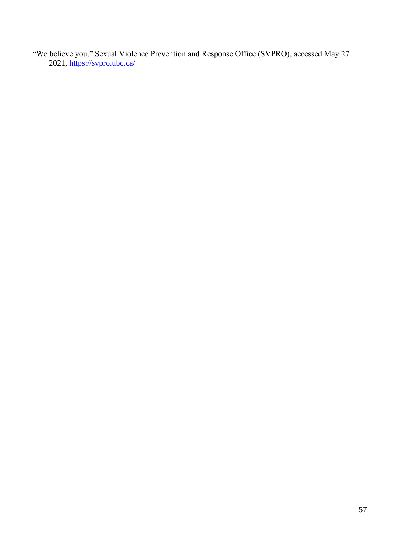"We believe you," Sexual Violence Prevention and Response Office (SVPRO), accessed May 27 2021,<https://svpro.ubc.ca/>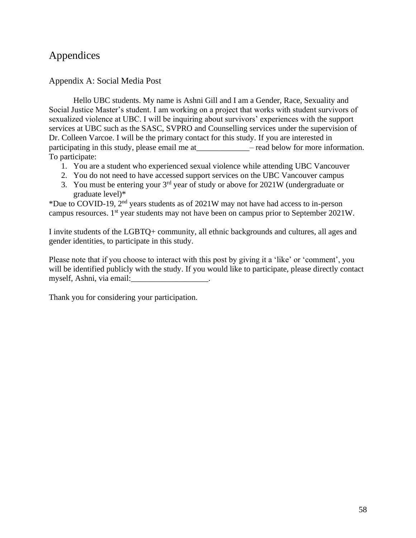# Appendices

## Appendix A: Social Media Post

Hello UBC students. My name is Ashni Gill and I am a Gender, Race, Sexuality and Social Justice Master's student. I am working on a project that works with student survivors of sexualized violence at UBC. I will be inquiring about survivors' experiences with the support services at UBC such as the SASC, SVPRO and Counselling services under the supervision of Dr. Colleen Varcoe. I will be the primary contact for this study. If you are interested in participating in this study, please email me at \_\_\_\_\_\_\_\_\_\_\_\_\_\_\_\_ – read below for more information. To participate:

- 1. You are a student who experienced sexual violence while attending UBC Vancouver
- 2. You do not need to have accessed support services on the UBC Vancouver campus
- 3. You must be entering your  $3<sup>rd</sup>$  year of study or above for 2021W (undergraduate or graduate level)\*

\*Due to COVID-19, 2nd years students as of 2021W may not have had access to in-person campus resources. 1st year students may not have been on campus prior to September 2021W.

I invite students of the LGBTQ+ community, all ethnic backgrounds and cultures, all ages and gender identities, to participate in this study.

Please note that if you choose to interact with this post by giving it a 'like' or 'comment', you will be identified publicly with the study. If you would like to participate, please directly contact myself, Ashni, via email:

Thank you for considering your participation.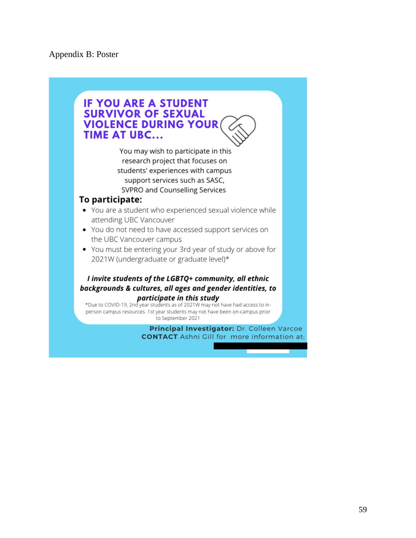## **IF YOU ARE A STUDENT SURVIVOR OF SEXUAL VIOLENCE DURING YOUR TIME AT UBC...** You may wish to participate in this research project that focuses on students' experiences with campus support services such as SASC, SVPRO and Counselling Services To participate: • You are a student who experienced sexual violence while attending UBC Vancouver • You do not need to have accessed support services on the UBC Vancouver campus • You must be entering your 3rd year of study or above for 2021W (undergraduate or graduate level)\* I invite students of the LGBTQ+ community, all ethnic backgrounds & cultures, all ages and gender identities, to participate in this study \*Due to COVID-19, 2nd year students as of 2021W may not have had access to inperson campus resources. 1st year students may not have been on-campus prior to September 2021

Principal Investigator: Dr. Colleen Varcoe **CONTACT** Ashni Gill for more information at: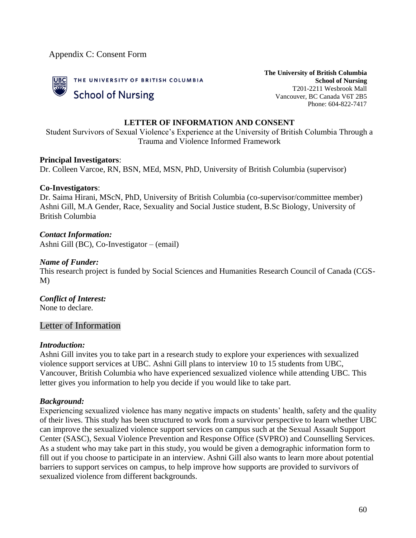Appendix C: Consent Form



**The University of British Columbia School of Nursing** T201-2211 Wesbrook Mall Vancouver, BC Canada V6T 2B5 Phone: 604-822-7417

### **LETTER OF INFORMATION AND CONSENT**

Student Survivors of Sexual Violence's Experience at the University of British Columbia Through a Trauma and Violence Informed Framework

#### **Principal Investigators**:

Dr. Colleen Varcoe, RN, BSN, MEd, MSN, PhD, University of British Columbia (supervisor)

#### **Co-Investigators**:

Dr. Saima Hirani, MScN, PhD, University of British Columbia (co-supervisor/committee member) Ashni Gill, M.A Gender, Race, Sexuality and Social Justice student, B.Sc Biology, University of British Columbia

#### *Contact Information:*

Ashni Gill (BC), Co-Investigator – (email)

#### *Name of Funder:*

This research project is funded by Social Sciences and Humanities Research Council of Canada (CGS-M)

#### *Conflict of Interest:* None to declare.

## Letter of Information

#### *Introduction:*

Ashni Gill invites you to take part in a research study to explore your experiences with sexualized violence support services at UBC. Ashni Gill plans to interview 10 to 15 students from UBC, Vancouver, British Columbia who have experienced sexualized violence while attending UBC. This letter gives you information to help you decide if you would like to take part.

#### *Background:*

Experiencing sexualized violence has many negative impacts on students' health, safety and the quality of their lives. This study has been structured to work from a survivor perspective to learn whether UBC can improve the sexualized violence support services on campus such at the Sexual Assault Support Center (SASC), Sexual Violence Prevention and Response Office (SVPRO) and Counselling Services. As a student who may take part in this study, you would be given a demographic information form to fill out if you choose to participate in an interview. Ashni Gill also wants to learn more about potential barriers to support services on campus, to help improve how supports are provided to survivors of sexualized violence from different backgrounds.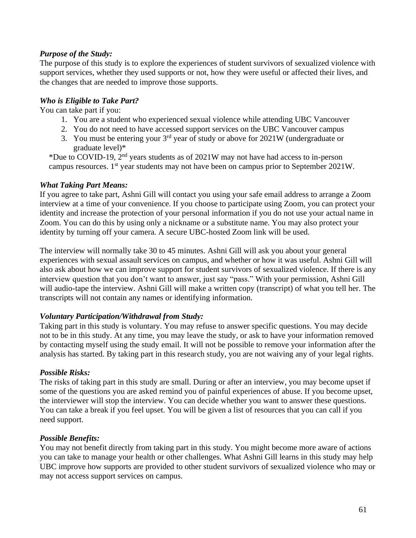## *Purpose of the Study:*

The purpose of this study is to explore the experiences of student survivors of sexualized violence with support services, whether they used supports or not, how they were useful or affected their lives, and the changes that are needed to improve those supports.

## *Who is Eligible to Take Part?*

You can take part if you:

- 1. You are a student who experienced sexual violence while attending UBC Vancouver
- 2. You do not need to have accessed support services on the UBC Vancouver campus
- 3. You must be entering your  $3<sup>rd</sup>$  year of study or above for 2021W (undergraduate or graduate level)\*

\*Due to COVID-19,  $2<sup>nd</sup>$  years students as of 2021W may not have had access to in-person campus resources.  $1<sup>st</sup>$  year students may not have been on campus prior to September 2021W.

## *What Taking Part Means:*

If you agree to take part, Ashni Gill will contact you using your safe email address to arrange a Zoom interview at a time of your convenience. If you choose to participate using Zoom, you can protect your identity and increase the protection of your personal information if you do not use your actual name in Zoom. You can do this by using only a nickname or a substitute name. You may also protect your identity by turning off your camera. A secure UBC-hosted Zoom link will be used.

The interview will normally take 30 to 45 minutes. Ashni Gill will ask you about your general experiences with sexual assault services on campus, and whether or how it was useful. Ashni Gill will also ask about how we can improve support for student survivors of sexualized violence. If there is any interview question that you don't want to answer, just say "pass." With your permission, Ashni Gill will audio-tape the interview. Ashni Gill will make a written copy (transcript) of what you tell her. The transcripts will not contain any names or identifying information.

## *Voluntary Participation/Withdrawal from Study:*

Taking part in this study is voluntary. You may refuse to answer specific questions. You may decide not to be in this study. At any time, you may leave the study, or ask to have your information removed by contacting myself using the study email. It will not be possible to remove your information after the analysis has started. By taking part in this research study, you are not waiving any of your legal rights.

## *Possible Risks:*

The risks of taking part in this study are small. During or after an interview, you may become upset if some of the questions you are asked remind you of painful experiences of abuse. If you become upset, the interviewer will stop the interview. You can decide whether you want to answer these questions. You can take a break if you feel upset. You will be given a list of resources that you can call if you need support.

## *Possible Benefits:*

You may not benefit directly from taking part in this study. You might become more aware of actions you can take to manage your health or other challenges. What Ashni Gill learns in this study may help UBC improve how supports are provided to other student survivors of sexualized violence who may or may not access support services on campus.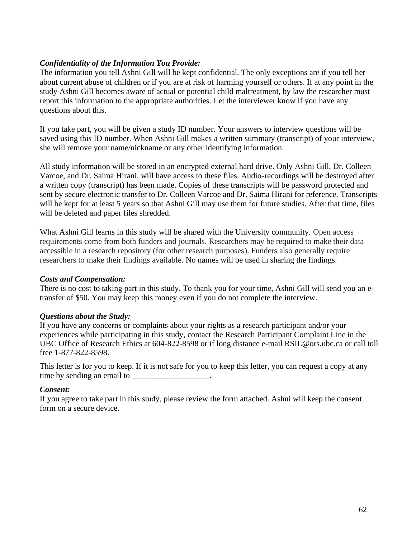## *Confidentiality of the Information You Provide:*

The information you tell Ashni Gill will be kept confidential. The only exceptions are if you tell her about current abuse of children or if you are at risk of harming yourself or others. If at any point in the study Ashni Gill becomes aware of actual or potential child maltreatment, by law the researcher must report this information to the appropriate authorities. Let the interviewer know if you have any questions about this.

If you take part, you will be given a study ID number. Your answers to interview questions will be saved using this ID number. When Ashni Gill makes a written summary (transcript) of your interview, she will remove your name/nickname or any other identifying information.

All study information will be stored in an encrypted external hard drive. Only Ashni Gill, Dr. Colleen Varcoe, and Dr. Saima Hirani, will have access to these files. Audio-recordings will be destroyed after a written copy (transcript) has been made. Copies of these transcripts will be password protected and sent by secure electronic transfer to Dr. Colleen Varcoe and Dr. Saima Hirani for reference. Transcripts will be kept for at least 5 years so that Ashni Gill may use them for future studies. After that time, files will be deleted and paper files shredded.

What Ashni Gill learns in this study will be shared with the University community. Open access requirements come from both funders and journals. Researchers may be required to make their data accessible in a research repository (for other research purposes). Funders also generally require researchers to make their findings available. No names will be used in sharing the findings.

## *Costs and Compensation:*

There is no cost to taking part in this study. To thank you for your time, Ashni Gill will send you an etransfer of \$50. You may keep this money even if you do not complete the interview.

## *Questions about the Study:*

If you have any concerns or complaints about your rights as a research participant and/or your experiences while participating in this study, contact the Research Participant Complaint Line in the UBC Office of Research Ethics at 604-822-8598 or if long distance e-mail RSIL@ors.ubc.ca or call toll free 1-877-822-8598.

This letter is for you to keep. If it is not safe for you to keep this letter, you can request a copy at any time by sending an email to \_\_\_\_\_\_\_\_\_\_\_\_\_\_\_\_\_\_\_\_.

## *Consent:*

If you agree to take part in this study, please review the form attached. Ashni will keep the consent form on a secure device.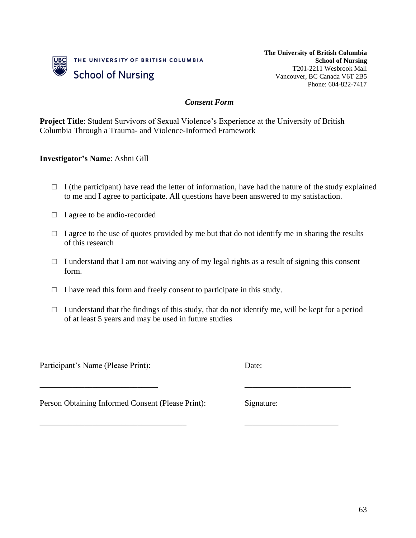

**The University of British Columbia School of Nursing** T201-2211 Wesbrook Mall Vancouver, BC Canada V6T 2B5 Phone: 604-822-7417

### *Consent Form*

**Project Title**: Student Survivors of Sexual Violence's Experience at the University of British Columbia Through a Trauma- and Violence-Informed Framework

### **Investigator's Name**: Ashni Gill

- $\Box$  I (the participant) have read the letter of information, have had the nature of the study explained to me and I agree to participate. All questions have been answered to my satisfaction.
- □ I agree to be audio-recorded
- $\Box$  I agree to the use of quotes provided by me but that do not identify me in sharing the results of this research
- $\Box$  I understand that I am not waiving any of my legal rights as a result of signing this consent form.
- $\Box$  I have read this form and freely consent to participate in this study.
- $\Box$  I understand that the findings of this study, that do not identify me, will be kept for a period of at least 5 years and may be used in future studies

\_\_\_\_\_\_\_\_\_\_\_\_\_\_\_\_\_\_\_\_\_\_\_\_\_\_\_\_\_ \_\_\_\_\_\_\_\_\_\_\_\_\_\_\_\_\_\_\_\_\_\_\_\_\_\_

\_\_\_\_\_\_\_\_\_\_\_\_\_\_\_\_\_\_\_\_\_\_\_\_\_\_\_\_\_\_\_\_\_\_\_\_ \_\_\_\_\_\_\_\_\_\_\_\_\_\_\_\_\_\_\_\_\_\_\_

Participant's Name (Please Print): Date:

Person Obtaining Informed Consent (Please Print): Signature: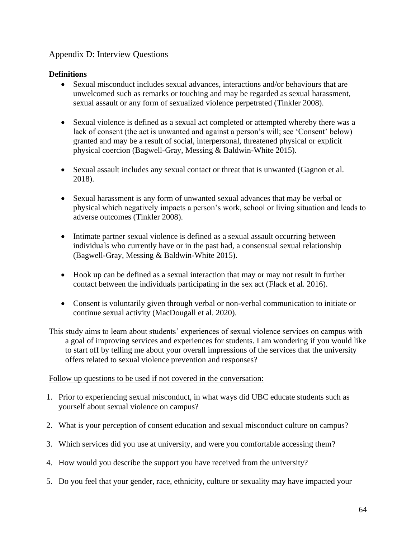# Appendix D: Interview Questions

## **Definitions**

- Sexual misconduct includes sexual advances, interactions and/or behaviours that are unwelcomed such as remarks or touching and may be regarded as sexual harassment, sexual assault or any form of sexualized violence perpetrated (Tinkler 2008).
- Sexual violence is defined as a sexual act completed or attempted whereby there was a lack of consent (the act is unwanted and against a person's will; see 'Consent' below) granted and may be a result of social, interpersonal, threatened physical or explicit physical coercion (Bagwell-Gray, Messing & Baldwin-White 2015).
- Sexual assault includes any sexual contact or threat that is unwanted (Gagnon et al. 2018).
- Sexual harassment is any form of unwanted sexual advances that may be verbal or physical which negatively impacts a person's work, school or living situation and leads to adverse outcomes (Tinkler 2008).
- Intimate partner sexual violence is defined as a sexual assault occurring between individuals who currently have or in the past had, a consensual sexual relationship (Bagwell-Gray, Messing & Baldwin-White 2015).
- Hook up can be defined as a sexual interaction that may or may not result in further contact between the individuals participating in the sex act (Flack et al. 2016).
- Consent is voluntarily given through verbal or non-verbal communication to initiate or continue sexual activity (MacDougall et al. 2020).
- This study aims to learn about students' experiences of sexual violence services on campus with a goal of improving services and experiences for students. I am wondering if you would like to start off by telling me about your overall impressions of the services that the university offers related to sexual violence prevention and responses?

## Follow up questions to be used if not covered in the conversation:

- 1. Prior to experiencing sexual misconduct, in what ways did UBC educate students such as yourself about sexual violence on campus?
- 2. What is your perception of consent education and sexual misconduct culture on campus?
- 3. Which services did you use at university, and were you comfortable accessing them?
- 4. How would you describe the support you have received from the university?
- 5. Do you feel that your gender, race, ethnicity, culture or sexuality may have impacted your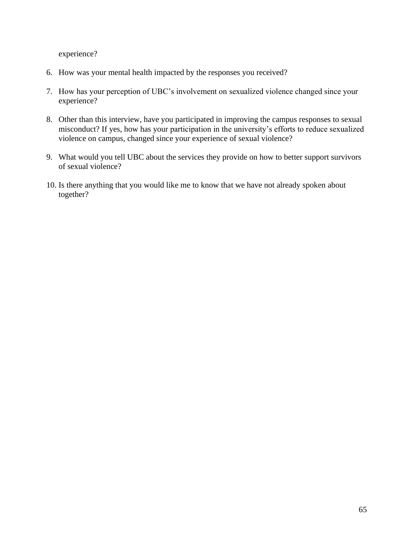experience?

- 6. How was your mental health impacted by the responses you received?
- 7. How has your perception of UBC's involvement on sexualized violence changed since your experience?
- 8. Other than this interview, have you participated in improving the campus responses to sexual misconduct? If yes, how has your participation in the university's efforts to reduce sexualized violence on campus, changed since your experience of sexual violence?
- 9. What would you tell UBC about the services they provide on how to better support survivors of sexual violence?
- 10. Is there anything that you would like me to know that we have not already spoken about together?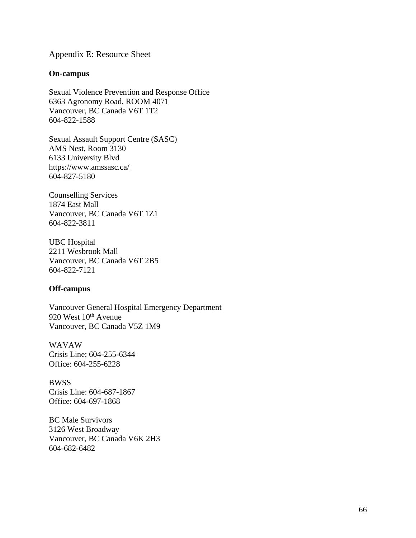Appendix E: Resource Sheet

#### **On-campus**

Sexual Violence Prevention and Response Office 6363 Agronomy Road, ROOM 4071 Vancouver, BC Canada V6T 1T2 604-822-1588

Sexual Assault Support Centre (SASC) AMS Nest, Room 3130 6133 University Blvd <https://www.amssasc.ca/> 604-827-5180

Counselling Services 1874 East Mall Vancouver, BC Canada V6T 1Z1 604-822-3811

UBC Hospital 2211 Wesbrook Mall Vancouver, BC Canada V6T 2B5 604-822-7121

#### **Off-campus**

Vancouver General Hospital Emergency Department 920 West 10<sup>th</sup> Avenue Vancouver, BC Canada V5Z 1M9

WAVAW Crisis Line: 604-255-6344 Office: 604-255-6228

**BWSS** Crisis Line: 604-687-1867 Office: 604-697-1868

BC Male Survivors 3126 West Broadway Vancouver, BC Canada V6K 2H3 604-682-6482